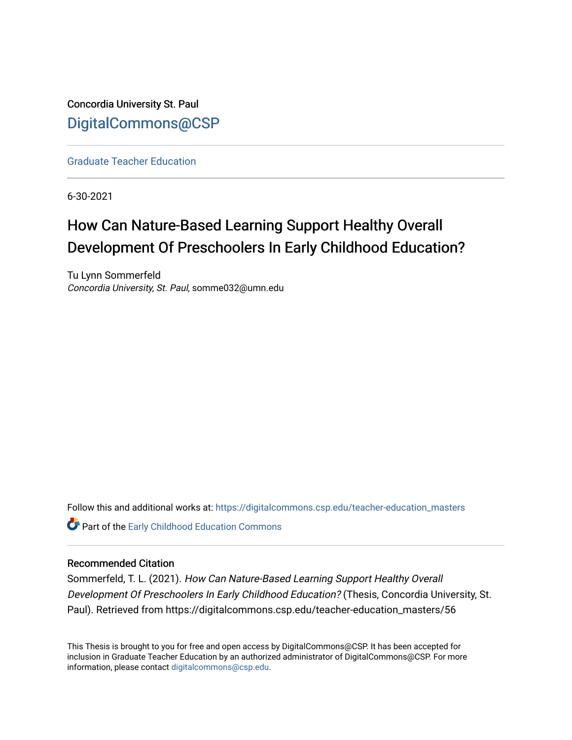Concordia University St. Paul [DigitalCommons@CSP](https://digitalcommons.csp.edu/)

[Graduate Teacher Education](https://digitalcommons.csp.edu/teacher-education_masters)

6-30-2021

# How Can Nature-Based Learning Support Healthy Overall Development Of Preschoolers In Early Childhood Education?

Tu Lynn Sommerfeld Concordia University, St. Paul, somme032@umn.edu

Follow this and additional works at: [https://digitalcommons.csp.edu/teacher-education\\_masters](https://digitalcommons.csp.edu/teacher-education_masters?utm_source=digitalcommons.csp.edu%2Fteacher-education_masters%2F56&utm_medium=PDF&utm_campaign=PDFCoverPages) **Part of the Early Childhood Education Commons** 

## Recommended Citation

Sommerfeld, T. L. (2021). How Can Nature-Based Learning Support Healthy Overall Development Of Preschoolers In Early Childhood Education? (Thesis, Concordia University, St. Paul). Retrieved from https://digitalcommons.csp.edu/teacher-education\_masters/56

This Thesis is brought to you for free and open access by DigitalCommons@CSP. It has been accepted for inclusion in Graduate Teacher Education by an authorized administrator of DigitalCommons@CSP. For more information, please contact [digitalcommons@csp.edu](mailto:digitalcommons@csp.edu).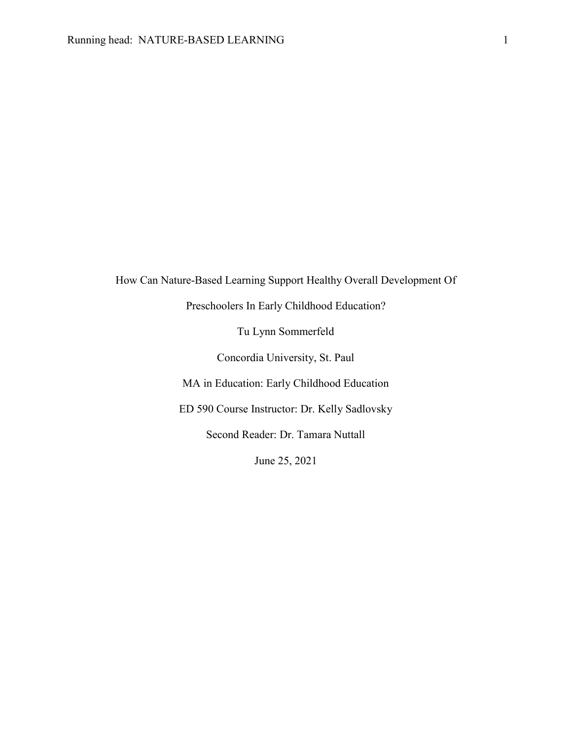How Can Nature-Based Learning Support Healthy Overall Development Of

Preschoolers In Early Childhood Education?

Tu Lynn Sommerfeld

Concordia University, St. Paul

MA in Education: Early Childhood Education

ED 590 Course Instructor: Dr. Kelly Sadlovsky

Second Reader: Dr. Tamara Nuttall

June 25, 2021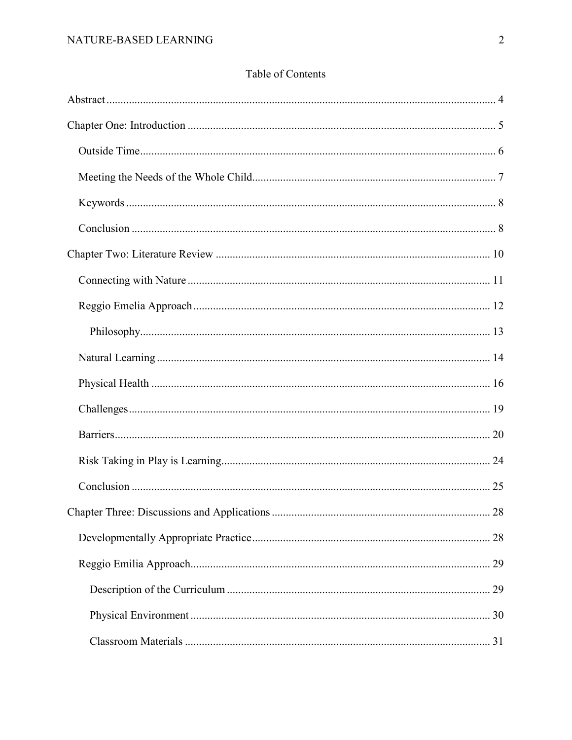# Table of Contents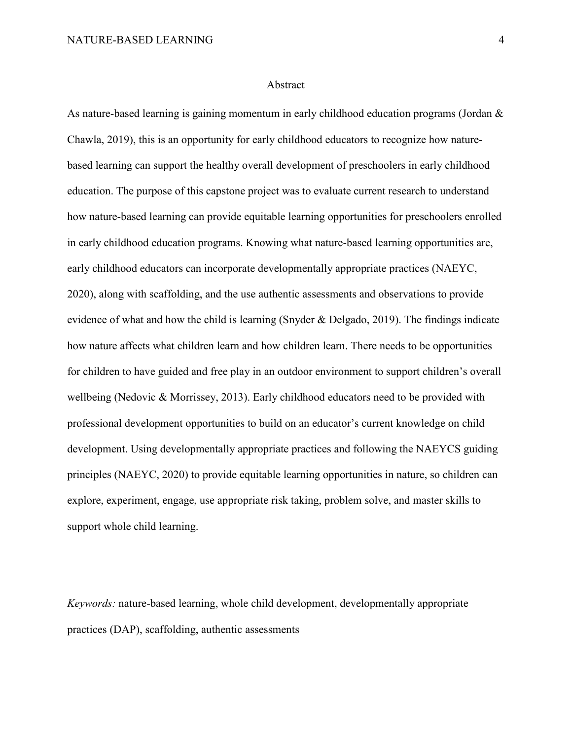#### Abstract

<span id="page-4-0"></span>As nature-based learning is gaining momentum in early childhood education programs (Jordan & Chawla, 2019), this is an opportunity for early childhood educators to recognize how naturebased learning can support the healthy overall development of preschoolers in early childhood education. The purpose of this capstone project was to evaluate current research to understand how nature-based learning can provide equitable learning opportunities for preschoolers enrolled in early childhood education programs. Knowing what nature-based learning opportunities are, early childhood educators can incorporate developmentally appropriate practices (NAEYC, 2020), along with scaffolding, and the use authentic assessments and observations to provide evidence of what and how the child is learning (Snyder & Delgado, 2019). The findings indicate how nature affects what children learn and how children learn. There needs to be opportunities for children to have guided and free play in an outdoor environment to support children's overall wellbeing (Nedovic & Morrissey, 2013). Early childhood educators need to be provided with professional development opportunities to build on an educator's current knowledge on child development. Using developmentally appropriate practices and following the NAEYCS guiding principles (NAEYC, 2020) to provide equitable learning opportunities in nature, so children can explore, experiment, engage, use appropriate risk taking, problem solve, and master skills to support whole child learning.

*Keywords:* nature-based learning, whole child development, developmentally appropriate practices (DAP), scaffolding, authentic assessments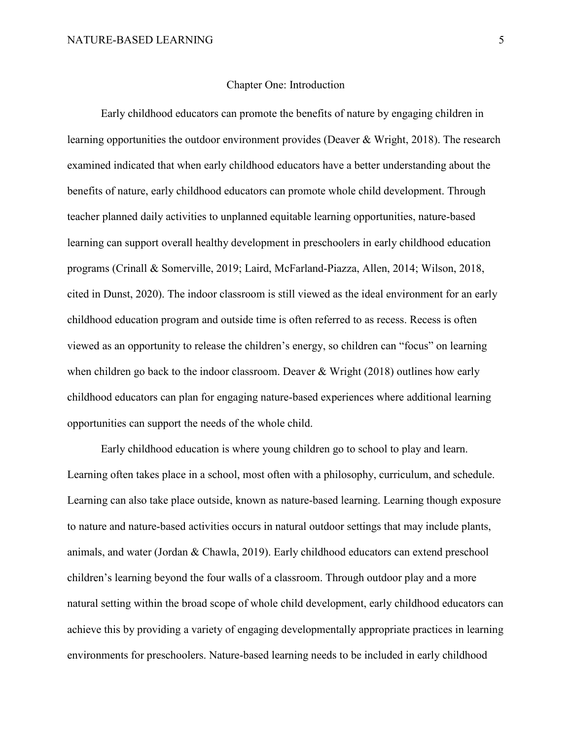#### Chapter One: Introduction

<span id="page-5-0"></span>Early childhood educators can promote the benefits of nature by engaging children in learning opportunities the outdoor environment provides (Deaver & Wright, 2018). The research examined indicated that when early childhood educators have a better understanding about the benefits of nature, early childhood educators can promote whole child development. Through teacher planned daily activities to unplanned equitable learning opportunities, nature-based learning can support overall healthy development in preschoolers in early childhood education programs (Crinall & Somerville, 2019; Laird, McFarland-Piazza, Allen, 2014; Wilson, 2018, cited in Dunst, 2020). The indoor classroom is still viewed as the ideal environment for an early childhood education program and outside time is often referred to as recess. Recess is often viewed as an opportunity to release the children's energy, so children can "focus" on learning when children go back to the indoor classroom. Deaver & Wright (2018) outlines how early childhood educators can plan for engaging nature-based experiences where additional learning opportunities can support the needs of the whole child.

Early childhood education is where young children go to school to play and learn. Learning often takes place in a school, most often with a philosophy, curriculum, and schedule. Learning can also take place outside, known as nature-based learning. Learning though exposure to nature and nature-based activities occurs in natural outdoor settings that may include plants, animals, and water (Jordan & Chawla, 2019). Early childhood educators can extend preschool children's learning beyond the four walls of a classroom. Through outdoor play and a more natural setting within the broad scope of whole child development, early childhood educators can achieve this by providing a variety of engaging developmentally appropriate practices in learning environments for preschoolers. Nature-based learning needs to be included in early childhood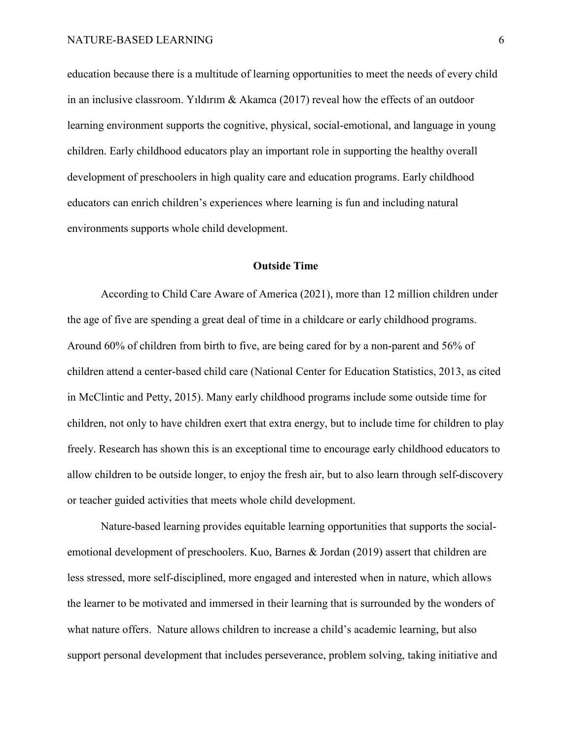education because there is a multitude of learning opportunities to meet the needs of every child in an inclusive classroom. Yıldırım & Akamca (2017) reveal how the effects of an outdoor learning environment supports the cognitive, physical, social-emotional, and language in young children. Early childhood educators play an important role in supporting the healthy overall development of preschoolers in high quality care and education programs. Early childhood educators can enrich children's experiences where learning is fun and including natural environments supports whole child development.

## **Outside Time**

<span id="page-6-0"></span>According to Child Care Aware of America (2021), more than 12 million children under the age of five are spending a great deal of time in a childcare or early childhood programs. Around 60% of children from birth to five, are being cared for by a non-parent and 56% of children attend a center-based child care (National Center for Education Statistics, 2013, as cited in McClintic and Petty, 2015). Many early childhood programs include some outside time for children, not only to have children exert that extra energy, but to include time for children to play freely. Research has shown this is an exceptional time to encourage early childhood educators to allow children to be outside longer, to enjoy the fresh air, but to also learn through self-discovery or teacher guided activities that meets whole child development.

Nature-based learning provides equitable learning opportunities that supports the socialemotional development of preschoolers. Kuo, Barnes & Jordan (2019) assert that children are less stressed, more self-disciplined, more engaged and interested when in nature, which allows the learner to be motivated and immersed in their learning that is surrounded by the wonders of what nature offers. Nature allows children to increase a child's academic learning, but also support personal development that includes perseverance, problem solving, taking initiative and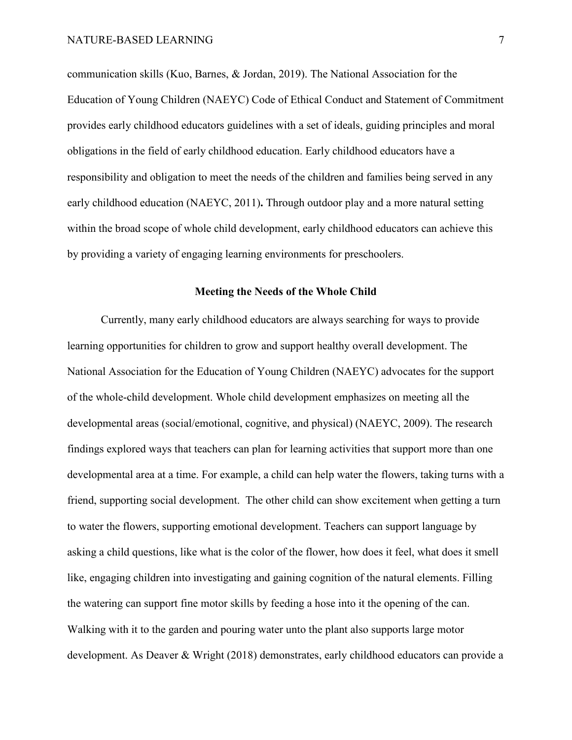communication skills (Kuo, Barnes, & Jordan, 2019). The National Association for the Education of Young Children (NAEYC) Code of Ethical Conduct and Statement of Commitment provides early childhood educators guidelines with a set of ideals, guiding principles and moral obligations in the field of early childhood education. Early childhood educators have a responsibility and obligation to meet the needs of the children and families being served in any early childhood education (NAEYC, 2011)**.** Through outdoor play and a more natural setting within the broad scope of whole child development, early childhood educators can achieve this by providing a variety of engaging learning environments for preschoolers.

## **Meeting the Needs of the Whole Child**

<span id="page-7-0"></span>Currently, many early childhood educators are always searching for ways to provide learning opportunities for children to grow and support healthy overall development. The National Association for the Education of Young Children (NAEYC) advocates for the support of the whole-child development. Whole child development emphasizes on meeting all the developmental areas (social/emotional, cognitive, and physical) (NAEYC, 2009). The research findings explored ways that teachers can plan for learning activities that support more than one developmental area at a time. For example, a child can help water the flowers, taking turns with a friend, supporting social development. The other child can show excitement when getting a turn to water the flowers, supporting emotional development. Teachers can support language by asking a child questions, like what is the color of the flower, how does it feel, what does it smell like, engaging children into investigating and gaining cognition of the natural elements. Filling the watering can support fine motor skills by feeding a hose into it the opening of the can. Walking with it to the garden and pouring water unto the plant also supports large motor development. As Deaver & Wright (2018) demonstrates, early childhood educators can provide a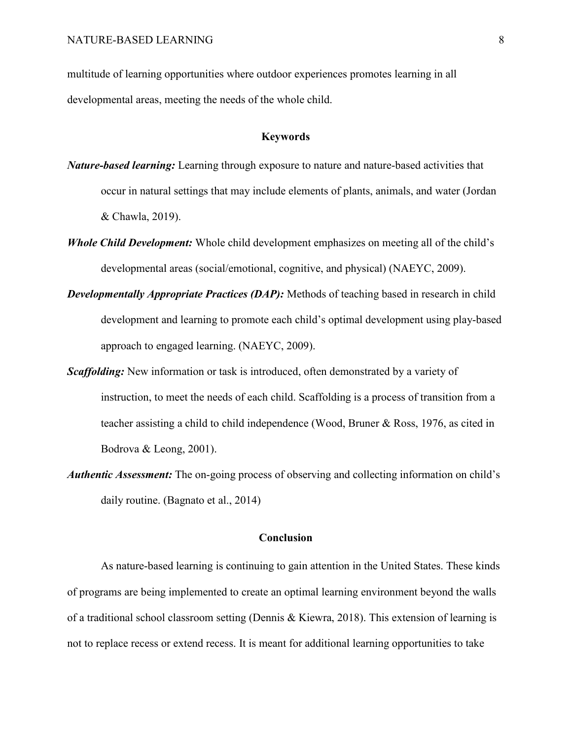multitude of learning opportunities where outdoor experiences promotes learning in all developmental areas, meeting the needs of the whole child.

#### **Keywords**

- <span id="page-8-0"></span>*Nature-based learning:* Learning through exposure to nature and nature-based activities that occur in natural settings that may include elements of plants, animals, and water (Jordan & Chawla, 2019).
- *Whole Child Development:* Whole child development emphasizes on meeting all of the child's developmental areas (social/emotional, cognitive, and physical) (NAEYC, 2009).
- *Developmentally Appropriate Practices (DAP):* Methods of teaching based in research in child development and learning to promote each child's optimal development using play-based approach to engaged learning. (NAEYC, 2009).
- *Scaffolding:* New information or task is introduced, often demonstrated by a variety of instruction, to meet the needs of each child. Scaffolding is a process of transition from a teacher assisting a child to child independence (Wood, Bruner & Ross, 1976, as cited in Bodrova & Leong, 2001).
- *Authentic Assessment:* The on-going process of observing and collecting information on child's daily routine. (Bagnato et al., 2014)

## **Conclusion**

<span id="page-8-1"></span>As nature-based learning is continuing to gain attention in the United States. These kinds of programs are being implemented to create an optimal learning environment beyond the walls of a traditional school classroom setting (Dennis & Kiewra, 2018). This extension of learning is not to replace recess or extend recess. It is meant for additional learning opportunities to take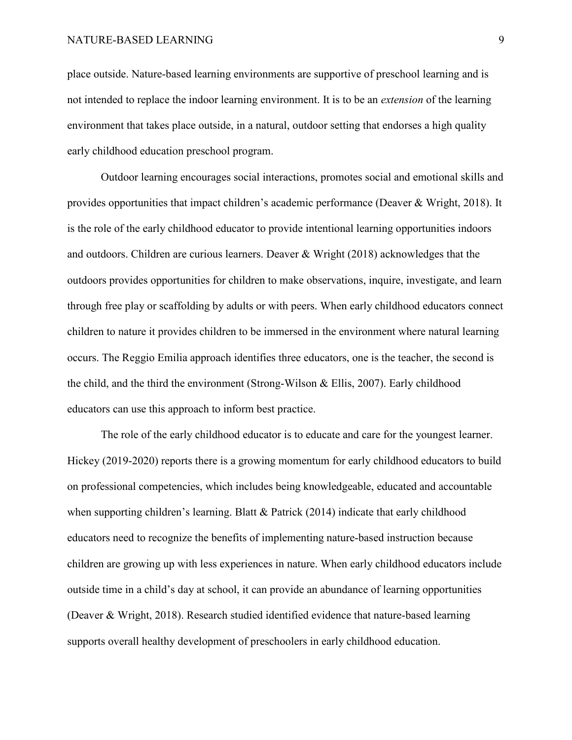place outside. Nature-based learning environments are supportive of preschool learning and is not intended to replace the indoor learning environment. It is to be an *extension* of the learning environment that takes place outside, in a natural, outdoor setting that endorses a high quality early childhood education preschool program.

Outdoor learning encourages social interactions, promotes social and emotional skills and provides opportunities that impact children's academic performance (Deaver & Wright, 2018). It is the role of the early childhood educator to provide intentional learning opportunities indoors and outdoors. Children are curious learners. Deaver & Wright (2018) acknowledges that the outdoors provides opportunities for children to make observations, inquire, investigate, and learn through free play or scaffolding by adults or with peers. When early childhood educators connect children to nature it provides children to be immersed in the environment where natural learning occurs. The Reggio Emilia approach identifies three educators, one is the teacher, the second is the child, and the third the environment (Strong-Wilson & Ellis, 2007). Early childhood educators can use this approach to inform best practice.

The role of the early childhood educator is to educate and care for the youngest learner. Hickey (2019-2020) reports there is a growing momentum for early childhood educators to build on professional competencies, which includes being knowledgeable, educated and accountable when supporting children's learning. Blatt & Patrick (2014) indicate that early childhood educators need to recognize the benefits of implementing nature-based instruction because children are growing up with less experiences in nature. When early childhood educators include outside time in a child's day at school, it can provide an abundance of learning opportunities (Deaver & Wright, 2018). Research studied identified evidence that nature-based learning supports overall healthy development of preschoolers in early childhood education.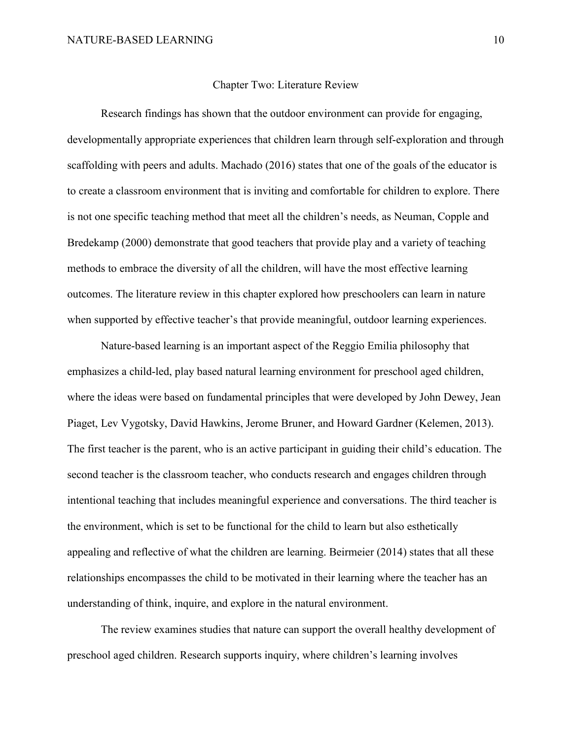#### Chapter Two: Literature Review

<span id="page-10-0"></span>Research findings has shown that the outdoor environment can provide for engaging, developmentally appropriate experiences that children learn through self-exploration and through scaffolding with peers and adults. Machado (2016) states that one of the goals of the educator is to create a classroom environment that is inviting and comfortable for children to explore. There is not one specific teaching method that meet all the children's needs, as Neuman, Copple and Bredekamp (2000) demonstrate that good teachers that provide play and a variety of teaching methods to embrace the diversity of all the children, will have the most effective learning outcomes. The literature review in this chapter explored how preschoolers can learn in nature when supported by effective teacher's that provide meaningful, outdoor learning experiences.

Nature-based learning is an important aspect of the Reggio Emilia philosophy that emphasizes a child-led, play based natural learning environment for preschool aged children, where the ideas were based on fundamental principles that were developed by John Dewey, Jean Piaget, Lev Vygotsky, David Hawkins, Jerome Bruner, and Howard Gardner (Kelemen, 2013). The first teacher is the parent, who is an active participant in guiding their child's education. The second teacher is the classroom teacher, who conducts research and engages children through intentional teaching that includes meaningful experience and conversations. The third teacher is the environment, which is set to be functional for the child to learn but also esthetically appealing and reflective of what the children are learning. Beirmeier (2014) states that all these relationships encompasses the child to be motivated in their learning where the teacher has an understanding of think, inquire, and explore in the natural environment.

The review examines studies that nature can support the overall healthy development of preschool aged children. Research supports inquiry, where children's learning involves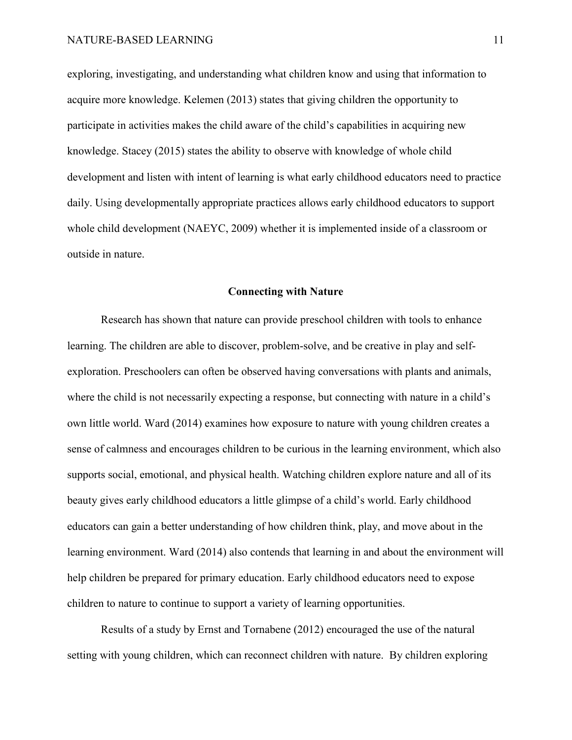exploring, investigating, and understanding what children know and using that information to acquire more knowledge. Kelemen (2013) states that giving children the opportunity to participate in activities makes the child aware of the child's capabilities in acquiring new knowledge. Stacey (2015) states the ability to observe with knowledge of whole child development and listen with intent of learning is what early childhood educators need to practice daily. Using developmentally appropriate practices allows early childhood educators to support whole child development (NAEYC, 2009) whether it is implemented inside of a classroom or outside in nature.

## **Connecting with Nature**

<span id="page-11-0"></span>Research has shown that nature can provide preschool children with tools to enhance learning. The children are able to discover, problem-solve, and be creative in play and selfexploration. Preschoolers can often be observed having conversations with plants and animals, where the child is not necessarily expecting a response, but connecting with nature in a child's own little world. Ward (2014) examines how exposure to nature with young children creates a sense of calmness and encourages children to be curious in the learning environment, which also supports social, emotional, and physical health. Watching children explore nature and all of its beauty gives early childhood educators a little glimpse of a child's world. Early childhood educators can gain a better understanding of how children think, play, and move about in the learning environment. Ward (2014) also contends that learning in and about the environment will help children be prepared for primary education. Early childhood educators need to expose children to nature to continue to support a variety of learning opportunities.

Results of a study by Ernst and Tornabene (2012) encouraged the use of the natural setting with young children, which can reconnect children with nature. By children exploring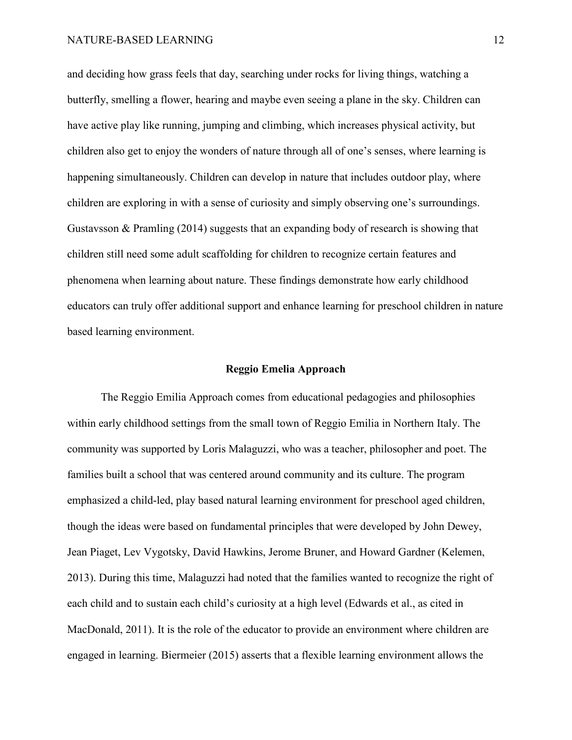and deciding how grass feels that day, searching under rocks for living things, watching a butterfly, smelling a flower, hearing and maybe even seeing a plane in the sky. Children can have active play like running, jumping and climbing, which increases physical activity, but children also get to enjoy the wonders of nature through all of one's senses, where learning is happening simultaneously. Children can develop in nature that includes outdoor play, where children are exploring in with a sense of curiosity and simply observing one's surroundings. Gustavsson & Pramling (2014) suggests that an expanding body of research is showing that children still need some adult scaffolding for children to recognize certain features and phenomena when learning about nature. These findings demonstrate how early childhood educators can truly offer additional support and enhance learning for preschool children in nature based learning environment.

## **Reggio Emelia Approach**

<span id="page-12-0"></span>The Reggio Emilia Approach comes from educational pedagogies and philosophies within early childhood settings from the small town of Reggio Emilia in Northern Italy. The community was supported by Loris Malaguzzi, who was a teacher, philosopher and poet. The families built a school that was centered around community and its culture. The program emphasized a child-led, play based natural learning environment for preschool aged children, though the ideas were based on fundamental principles that were developed by John Dewey, Jean Piaget, Lev Vygotsky, David Hawkins, Jerome Bruner, and Howard Gardner (Kelemen, 2013). During this time, Malaguzzi had noted that the families wanted to recognize the right of each child and to sustain each child's curiosity at a high level (Edwards et al., as cited in MacDonald, 2011). It is the role of the educator to provide an environment where children are engaged in learning. Biermeier (2015) asserts that a flexible learning environment allows the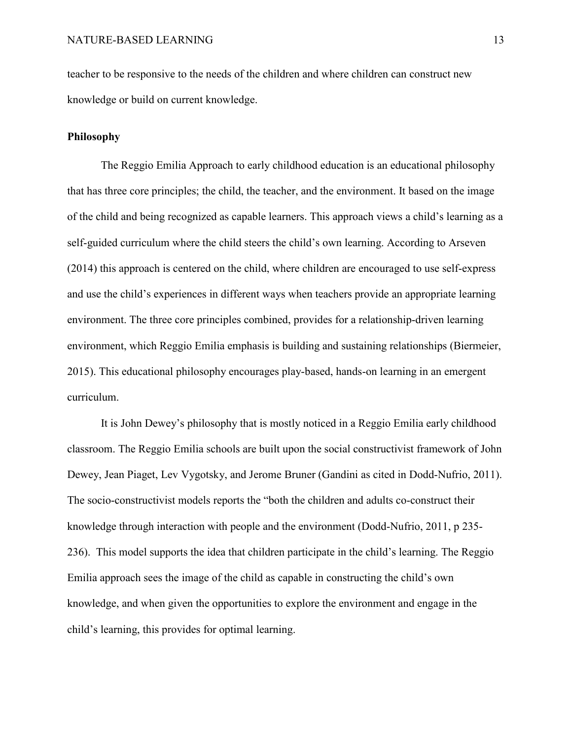teacher to be responsive to the needs of the children and where children can construct new knowledge or build on current knowledge.

## <span id="page-13-0"></span>**Philosophy**

The Reggio Emilia Approach to early childhood education is an educational philosophy that has three core principles; the child, the teacher, and the environment. It based on the image of the child and being recognized as capable learners. This approach views a child's learning as a self-guided curriculum where the child steers the child's own learning. According to Arseven (2014) this approach is centered on the child, where children are encouraged to use self-express and use the child's experiences in different ways when teachers provide an appropriate learning environment. The three core principles combined, provides for a relationship-driven learning environment, which Reggio Emilia emphasis is building and sustaining relationships (Biermeier, 2015). This educational philosophy encourages play-based, hands-on learning in an emergent curriculum.

It is John Dewey's philosophy that is mostly noticed in a Reggio Emilia early childhood classroom. The Reggio Emilia schools are built upon the social constructivist framework of John Dewey, Jean Piaget, Lev Vygotsky, and Jerome Bruner (Gandini as cited in Dodd-Nufrio, 2011). The socio-constructivist models reports the "both the children and adults co-construct their knowledge through interaction with people and the environment (Dodd-Nufrio, 2011, p 235- 236). This model supports the idea that children participate in the child's learning. The Reggio Emilia approach sees the image of the child as capable in constructing the child's own knowledge, and when given the opportunities to explore the environment and engage in the child's learning, this provides for optimal learning.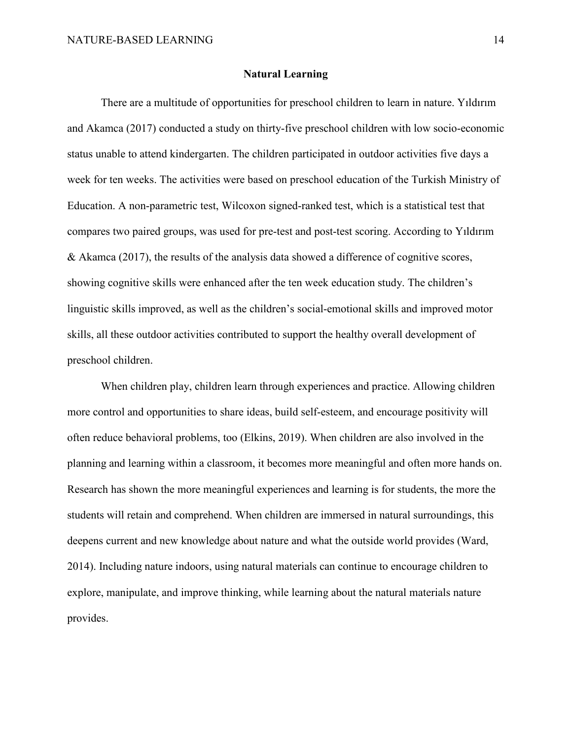#### **Natural Learning**

<span id="page-14-0"></span>There are a multitude of opportunities for preschool children to learn in nature. Yıldırım and Akamca (2017) conducted a study on thirty-five preschool children with low socio-economic status unable to attend kindergarten. The children participated in outdoor activities five days a week for ten weeks. The activities were based on preschool education of the Turkish Ministry of Education. A non-parametric test, Wilcoxon signed-ranked test, which is a statistical test that compares two paired groups, was used for pre-test and post-test scoring. According to Yıldırım & Akamca (2017), the results of the analysis data showed a difference of cognitive scores, showing cognitive skills were enhanced after the ten week education study. The children's linguistic skills improved, as well as the children's social-emotional skills and improved motor skills, all these outdoor activities contributed to support the healthy overall development of preschool children.

When children play, children learn through experiences and practice. Allowing children more control and opportunities to share ideas, build self-esteem, and encourage positivity will often reduce behavioral problems, too (Elkins, 2019). When children are also involved in the planning and learning within a classroom, it becomes more meaningful and often more hands on. Research has shown the more meaningful experiences and learning is for students, the more the students will retain and comprehend. When children are immersed in natural surroundings, this deepens current and new knowledge about nature and what the outside world provides (Ward, 2014). Including nature indoors, using natural materials can continue to encourage children to explore, manipulate, and improve thinking, while learning about the natural materials nature provides.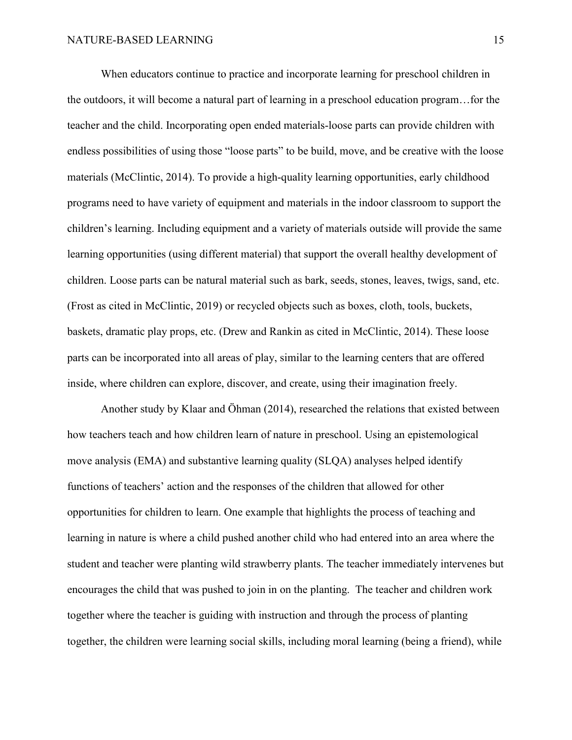When educators continue to practice and incorporate learning for preschool children in the outdoors, it will become a natural part of learning in a preschool education program…for the teacher and the child. Incorporating open ended materials-loose parts can provide children with endless possibilities of using those "loose parts" to be build, move, and be creative with the loose materials (McClintic, 2014). To provide a high-quality learning opportunities, early childhood programs need to have variety of equipment and materials in the indoor classroom to support the children's learning. Including equipment and a variety of materials outside will provide the same learning opportunities (using different material) that support the overall healthy development of children. Loose parts can be natural material such as bark, seeds, stones, leaves, twigs, sand, etc. (Frost as cited in McClintic, 2019) or recycled objects such as boxes, cloth, tools, buckets, baskets, dramatic play props, etc. (Drew and Rankin as cited in McClintic, 2014). These loose parts can be incorporated into all areas of play, similar to the learning centers that are offered inside, where children can explore, discover, and create, using their imagination freely.

Another study by Klaar and Öhman (2014), researched the relations that existed between how teachers teach and how children learn of nature in preschool. Using an epistemological move analysis (EMA) and substantive learning quality (SLQA) analyses helped identify functions of teachers' action and the responses of the children that allowed for other opportunities for children to learn. One example that highlights the process of teaching and learning in nature is where a child pushed another child who had entered into an area where the student and teacher were planting wild strawberry plants. The teacher immediately intervenes but encourages the child that was pushed to join in on the planting. The teacher and children work together where the teacher is guiding with instruction and through the process of planting together, the children were learning social skills, including moral learning (being a friend), while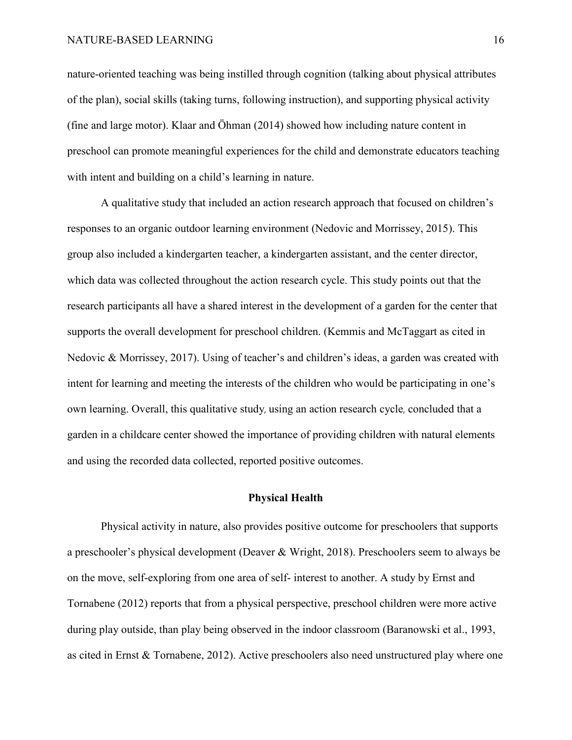nature-oriented teaching was being instilled through cognition (talking about physical attributes of the plan), social skills (taking turns, following instruction), and supporting physical activity (fine and large motor). Klaar and Öhman (2014) showed how including nature content in preschool can promote meaningful experiences for the child and demonstrate educators teaching with intent and building on a child's learning in nature.

A qualitative study that included an action research approach that focused on children's responses to an organic outdoor learning environment (Nedovic and Morrissey, 2015). This group also included a kindergarten teacher, a kindergarten assistant, and the center director, which data was collected throughout the action research cycle. This study points out that the research participants all have a shared interest in the development of a garden for the center that supports the overall development for preschool children. (Kemmis and McTaggart as cited in Nedovic & Morrissey, 2017). Using of teacher's and children's ideas, a garden was created with intent for learning and meeting the interests of the children who would be participating in one's own learning. Overall, this qualitative study, using an action research cycle, concluded that a garden in a childcare center showed the importance of providing children with natural elements and using the recorded data collected, reported positive outcomes.

## **Physical Health**

<span id="page-16-0"></span>Physical activity in nature, also provides positive outcome for preschoolers that supports a preschooler's physical development (Deaver & Wright, 2018). Preschoolers seem to always be on the move, self-exploring from one area of self- interest to another. A study by Ernst and Tornabene (2012) reports that from a physical perspective, preschool children were more active during play outside, than play being observed in the indoor classroom (Baranowski et al., 1993, as cited in Ernst & Tornabene, 2012). Active preschoolers also need unstructured play where one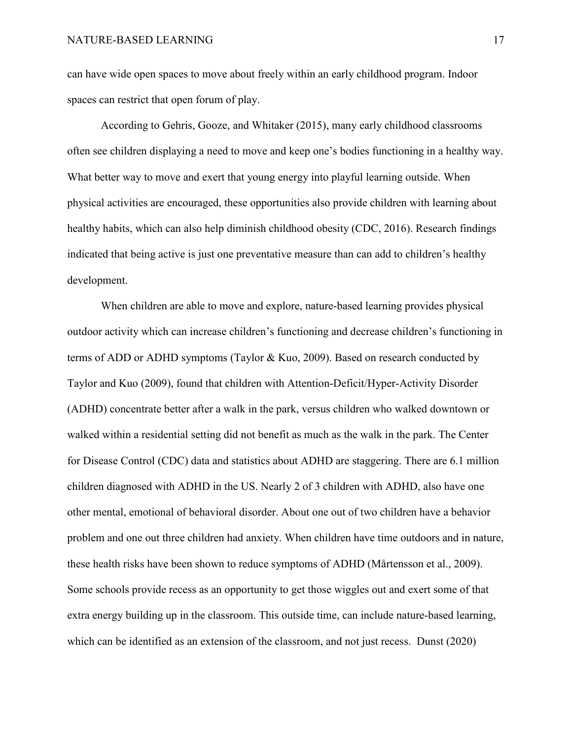can have wide open spaces to move about freely within an early childhood program. Indoor spaces can restrict that open forum of play.

According to Gehris, Gooze, and Whitaker (2015), many early childhood classrooms often see children displaying a need to move and keep one's bodies functioning in a healthy way. What better way to move and exert that young energy into playful learning outside. When physical activities are encouraged, these opportunities also provide children with learning about healthy habits, which can also help diminish childhood obesity (CDC, 2016). Research findings indicated that being active is just one preventative measure than can add to children's healthy development.

When children are able to move and explore, nature-based learning provides physical outdoor activity which can increase children's functioning and decrease children's functioning in terms of ADD or ADHD symptoms (Taylor & Kuo, 2009). Based on research conducted by Taylor and Kuo (2009), found that children with Attention-Deficit/Hyper-Activity Disorder (ADHD) concentrate better after a walk in the park, versus children who walked downtown or walked within a residential setting did not benefit as much as the walk in the park. The Center for Disease Control (CDC) data and statistics about ADHD are staggering. There are 6.1 million children diagnosed with ADHD in the US. Nearly 2 of 3 children with ADHD, also have one other mental, emotional of behavioral disorder. About one out of two children have a behavior problem and one out three children had anxiety. When children have time outdoors and in nature, these health risks have been shown to reduce symptoms of ADHD (Mårtensson et al., 2009). Some schools provide recess as an opportunity to get those wiggles out and exert some of that extra energy building up in the classroom. This outside time, can include nature-based learning, which can be identified as an extension of the classroom, and not just recess. Dunst (2020)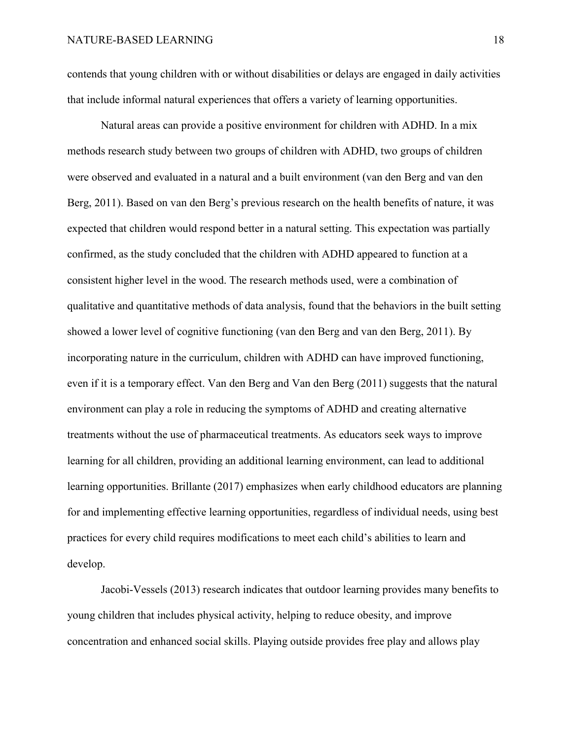contends that young children with or without disabilities or delays are engaged in daily activities that include informal natural experiences that offers a variety of learning opportunities.

Natural areas can provide a positive environment for children with ADHD. In a mix methods research study between two groups of children with ADHD, two groups of children were observed and evaluated in a natural and a built environment (van den Berg and van den Berg, 2011). Based on van den Berg's previous research on the health benefits of nature, it was expected that children would respond better in a natural setting. This expectation was partially confirmed, as the study concluded that the children with ADHD appeared to function at a consistent higher level in the wood. The research methods used, were a combination of qualitative and quantitative methods of data analysis, found that the behaviors in the built setting showed a lower level of cognitive functioning (van den Berg and van den Berg, 2011). By incorporating nature in the curriculum, children with ADHD can have improved functioning, even if it is a temporary effect. Van den Berg and Van den Berg (2011) suggests that the natural environment can play a role in reducing the symptoms of ADHD and creating alternative treatments without the use of pharmaceutical treatments. As educators seek ways to improve learning for all children, providing an additional learning environment, can lead to additional learning opportunities. Brillante (2017) emphasizes when early childhood educators are planning for and implementing effective learning opportunities, regardless of individual needs, using best practices for every child requires modifications to meet each child's abilities to learn and develop.

Jacobi-Vessels (2013) research indicates that outdoor learning provides many benefits to young children that includes physical activity, helping to reduce obesity, and improve concentration and enhanced social skills. Playing outside provides free play and allows play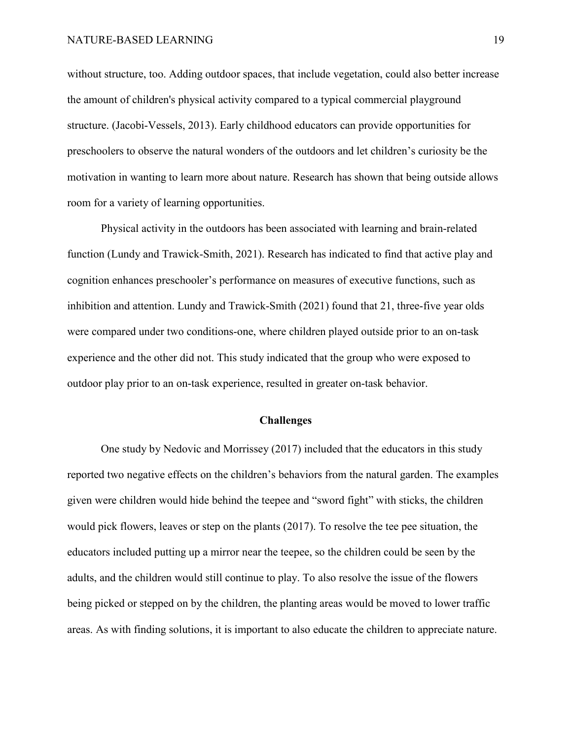without structure, too. Adding outdoor spaces, that include vegetation, could also better increase the amount of children's physical activity compared to a typical commercial playground structure. (Jacobi-Vessels, 2013). Early childhood educators can provide opportunities for preschoolers to observe the natural wonders of the outdoors and let children's curiosity be the motivation in wanting to learn more about nature. Research has shown that being outside allows room for a variety of learning opportunities.

Physical activity in the outdoors has been associated with learning and brain-related function (Lundy and Trawick-Smith, 2021). Research has indicated to find that active play and cognition enhances preschooler's performance on measures of executive functions, such as inhibition and attention. Lundy and Trawick-Smith (2021) found that 21, three-five year olds were compared under two conditions-one, where children played outside prior to an on-task experience and the other did not. This study indicated that the group who were exposed to outdoor play prior to an on-task experience, resulted in greater on-task behavior.

## **Challenges**

<span id="page-19-0"></span>One study by Nedovic and Morrissey (2017) included that the educators in this study reported two negative effects on the children's behaviors from the natural garden. The examples given were children would hide behind the teepee and "sword fight" with sticks, the children would pick flowers, leaves or step on the plants (2017). To resolve the tee pee situation, the educators included putting up a mirror near the teepee, so the children could be seen by the adults, and the children would still continue to play. To also resolve the issue of the flowers being picked or stepped on by the children, the planting areas would be moved to lower traffic areas. As with finding solutions, it is important to also educate the children to appreciate nature.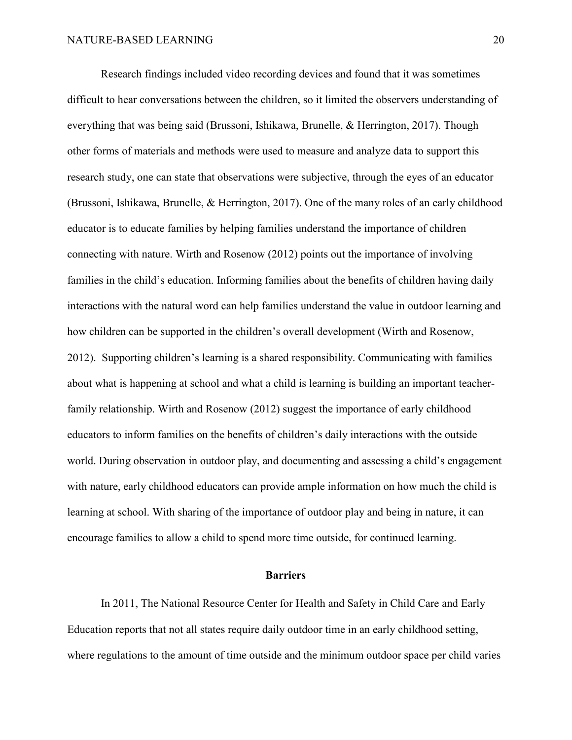Research findings included video recording devices and found that it was sometimes difficult to hear conversations between the children, so it limited the observers understanding of everything that was being said (Brussoni, Ishikawa, Brunelle, & Herrington, 2017). Though other forms of materials and methods were used to measure and analyze data to support this research study, one can state that observations were subjective, through the eyes of an educator (Brussoni, Ishikawa, Brunelle, & Herrington, 2017). One of the many roles of an early childhood educator is to educate families by helping families understand the importance of children connecting with nature. Wirth and Rosenow (2012) points out the importance of involving families in the child's education. Informing families about the benefits of children having daily interactions with the natural word can help families understand the value in outdoor learning and how children can be supported in the children's overall development (Wirth and Rosenow, 2012). Supporting children's learning is a shared responsibility. Communicating with families about what is happening at school and what a child is learning is building an important teacherfamily relationship. Wirth and Rosenow (2012) suggest the importance of early childhood educators to inform families on the benefits of children's daily interactions with the outside world. During observation in outdoor play, and documenting and assessing a child's engagement with nature, early childhood educators can provide ample information on how much the child is learning at school. With sharing of the importance of outdoor play and being in nature, it can encourage families to allow a child to spend more time outside, for continued learning.

#### **Barriers**

<span id="page-20-0"></span>In 2011, The National Resource Center for Health and Safety in Child Care and Early Education reports that not all states require daily outdoor time in an early childhood setting, where regulations to the amount of time outside and the minimum outdoor space per child varies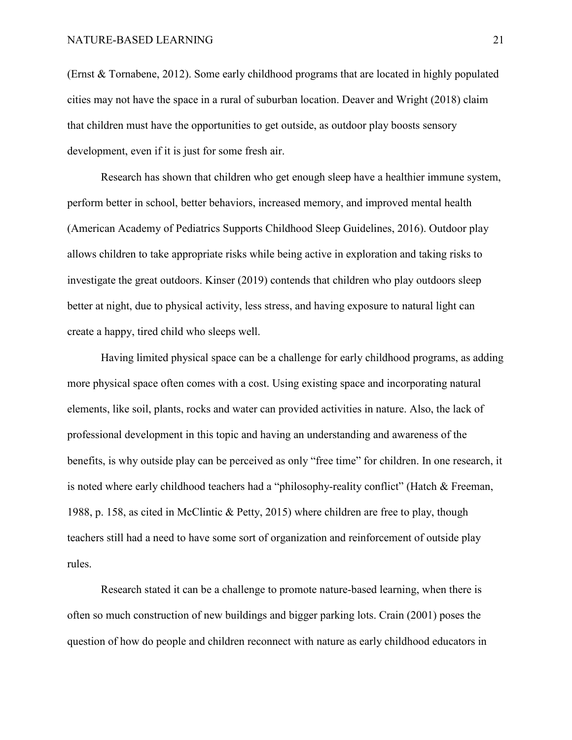(Ernst & Tornabene, 2012). Some early childhood programs that are located in highly populated cities may not have the space in a rural of suburban location. Deaver and Wright (2018) claim that children must have the opportunities to get outside, as outdoor play boosts sensory development, even if it is just for some fresh air.

Research has shown that children who get enough sleep have a healthier immune system, perform better in school, better behaviors, increased memory, and improved [mental health](https://www.healthychildren.org/English/healthy-living/sleep/Pages/Sleep-and-Mental-Health.aspx) (American Academy of Pediatrics Supports Childhood Sleep Guidelines, 2016). Outdoor play allows children to take appropriate risks while being active in exploration and taking risks to investigate the great outdoors. Kinser (2019) contends that children who play outdoors sleep better at night, due to physical activity, less stress, and having exposure to natural light can create a happy, tired child who sleeps well.

Having limited physical space can be a challenge for early childhood programs, as adding more physical space often comes with a cost. Using existing space and incorporating natural elements, like soil, plants, rocks and water can provided activities in nature. Also, the lack of professional development in this topic and having an understanding and awareness of the benefits, is why outside play can be perceived as only "free time" for children. In one research, it is noted where early childhood teachers had a "philosophy-reality conflict" (Hatch & Freeman, 1988, p. 158, as cited in McClintic & Petty, 2015) where children are free to play, though teachers still had a need to have some sort of organization and reinforcement of outside play rules.

Research stated it can be a challenge to promote nature-based learning, when there is often so much construction of new buildings and bigger parking lots. Crain (2001) poses the question of how do people and children reconnect with nature as early childhood educators in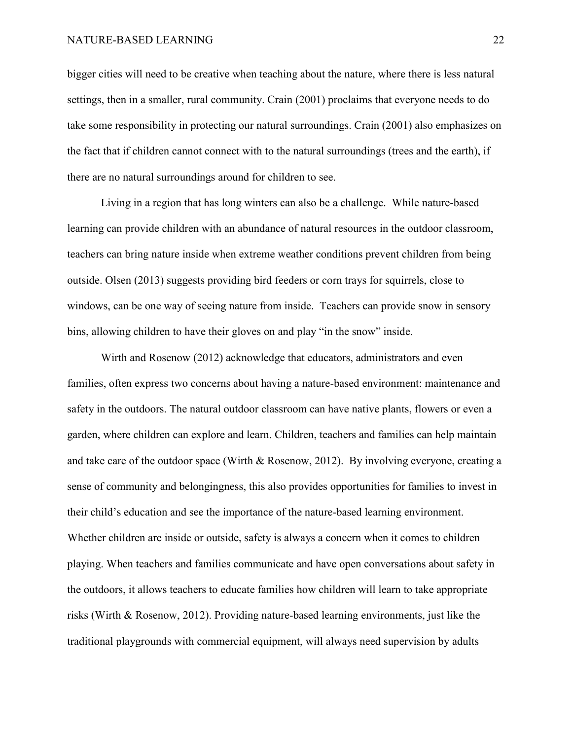bigger cities will need to be creative when teaching about the nature, where there is less natural settings, then in a smaller, rural community. Crain (2001) proclaims that everyone needs to do take some responsibility in protecting our natural surroundings. Crain (2001) also emphasizes on the fact that if children cannot connect with to the natural surroundings (trees and the earth), if there are no natural surroundings around for children to see.

Living in a region that has long winters can also be a challenge. While nature-based learning can provide children with an abundance of natural resources in the outdoor classroom, teachers can bring nature inside when extreme weather conditions prevent children from being outside. Olsen (2013) suggests providing bird feeders or corn trays for squirrels, close to windows, can be one way of seeing nature from inside. Teachers can provide snow in sensory bins, allowing children to have their gloves on and play "in the snow" inside.

Wirth and Rosenow (2012) acknowledge that educators, administrators and even families, often express two concerns about having a nature-based environment: maintenance and safety in the outdoors. The natural outdoor classroom can have native plants, flowers or even a garden, where children can explore and learn. Children, teachers and families can help maintain and take care of the outdoor space (Wirth & Rosenow, 2012). By involving everyone, creating a sense of community and belongingness, this also provides opportunities for families to invest in their child's education and see the importance of the nature-based learning environment. Whether children are inside or outside, safety is always a concern when it comes to children playing. When teachers and families communicate and have open conversations about safety in the outdoors, it allows teachers to educate families how children will learn to take appropriate risks (Wirth & Rosenow, 2012). Providing nature-based learning environments, just like the traditional playgrounds with commercial equipment, will always need supervision by adults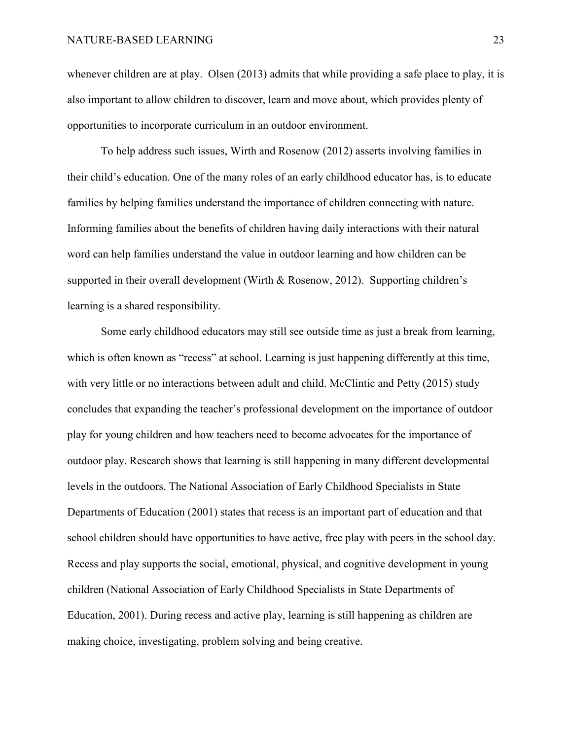whenever children are at play. Olsen (2013) admits that while providing a safe place to play, it is also important to allow children to discover, learn and move about, which provides plenty of opportunities to incorporate curriculum in an outdoor environment.

To help address such issues, Wirth and Rosenow (2012) asserts involving families in their child's education. One of the many roles of an early childhood educator has, is to educate families by helping families understand the importance of children connecting with nature. Informing families about the benefits of children having daily interactions with their natural word can help families understand the value in outdoor learning and how children can be supported in their overall development (Wirth & Rosenow, 2012). Supporting children's learning is a shared responsibility.

Some early childhood educators may still see outside time as just a break from learning, which is often known as "recess" at school. Learning is just happening differently at this time, with very little or no interactions between adult and child. McClintic and Petty (2015) study concludes that expanding the teacher's professional development on the importance of outdoor play for young children and how teachers need to become advocates for the importance of outdoor play. Research shows that learning is still happening in many different developmental levels in the outdoors. The National Association of Early Childhood Specialists in State Departments of Education (2001) states that recess is an important part of education and that school children should have opportunities to have active, free play with peers in the school day. Recess and play supports the social, emotional, physical, and cognitive development in young children (National Association of Early Childhood Specialists in State Departments of Education, 2001). During recess and active play, learning is still happening as children are making choice, investigating, problem solving and being creative.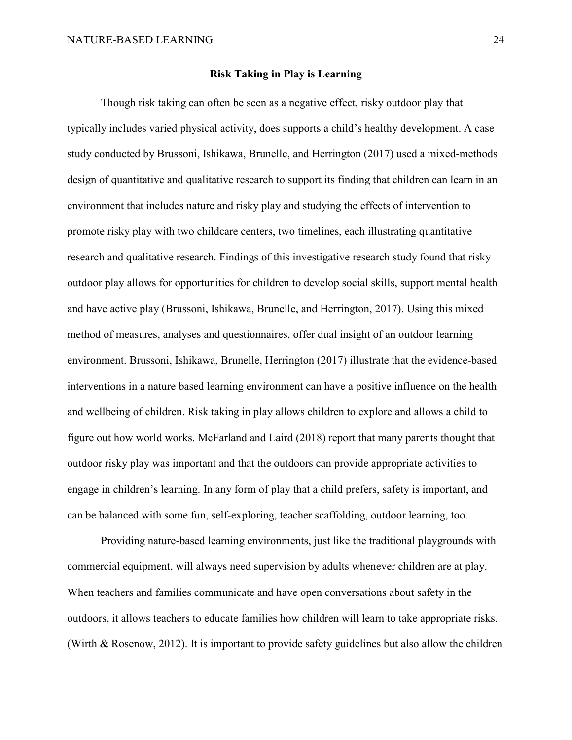## **Risk Taking in Play is Learning**

<span id="page-24-0"></span>Though risk taking can often be seen as a negative effect, risky outdoor play that typically includes varied physical activity, does supports a child's healthy development. A case study conducted by Brussoni, Ishikawa, Brunelle, and Herrington (2017) used a mixed-methods design of quantitative and qualitative research to support its finding that children can learn in an environment that includes nature and risky play and studying the effects of intervention to promote risky play with two childcare centers, two timelines, each illustrating quantitative research and qualitative research. Findings of this investigative research study found that risky outdoor play allows for opportunities for children to develop social skills, support mental health and have active play (Brussoni, Ishikawa, Brunelle, and Herrington, 2017). Using this mixed method of measures, analyses and questionnaires, offer dual insight of an outdoor learning environment. Brussoni, Ishikawa, Brunelle, Herrington (2017) illustrate that the evidence-based interventions in a nature based learning environment can have a positive influence on the health and wellbeing of children. Risk taking in play allows children to explore and allows a child to figure out how world works. McFarland and Laird (2018) report that many parents thought that outdoor risky play was important and that the outdoors can provide appropriate activities to engage in children's learning. In any form of play that a child prefers, safety is important, and can be balanced with some fun, self-exploring, teacher scaffolding, outdoor learning, too.

Providing nature-based learning environments, just like the traditional playgrounds with commercial equipment, will always need supervision by adults whenever children are at play. When teachers and families communicate and have open conversations about safety in the outdoors, it allows teachers to educate families how children will learn to take appropriate risks. (Wirth & Rosenow, 2012). It is important to provide safety guidelines but also allow the children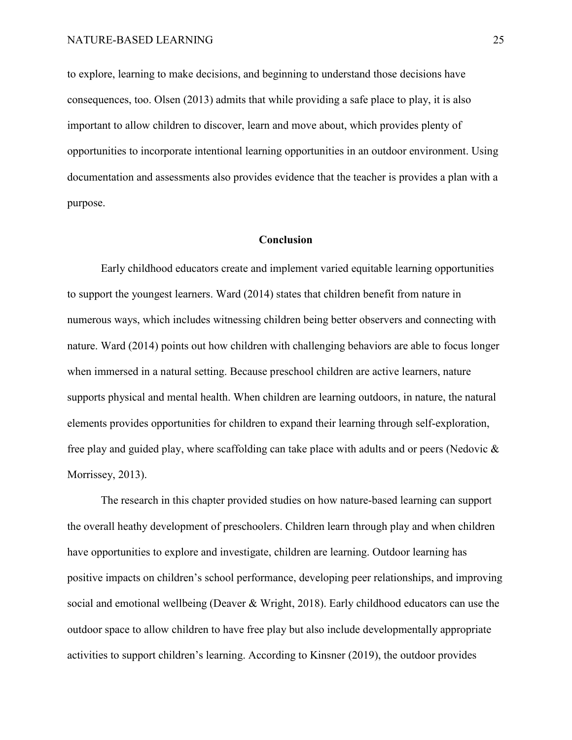to explore, learning to make decisions, and beginning to understand those decisions have consequences, too. Olsen (2013) admits that while providing a safe place to play, it is also important to allow children to discover, learn and move about, which provides plenty of opportunities to incorporate intentional learning opportunities in an outdoor environment. Using documentation and assessments also provides evidence that the teacher is provides a plan with a purpose.

#### **Conclusion**

<span id="page-25-0"></span>Early childhood educators create and implement varied equitable learning opportunities to support the youngest learners. Ward (2014) states that children benefit from nature in numerous ways, which includes witnessing children being better observers and connecting with nature. Ward (2014) points out how children with challenging behaviors are able to focus longer when immersed in a natural setting. Because preschool children are active learners, nature supports physical and mental health. When children are learning outdoors, in nature, the natural elements provides opportunities for children to expand their learning through self-exploration, free play and guided play, where scaffolding can take place with adults and or peers (Nedovic & Morrissey, 2013).

The research in this chapter provided studies on how nature-based learning can support the overall heathy development of preschoolers. Children learn through play and when children have opportunities to explore and investigate, children are learning. Outdoor learning has positive impacts on children's school performance, developing peer relationships, and improving social and emotional wellbeing (Deaver & Wright, 2018). Early childhood educators can use the outdoor space to allow children to have free play but also include developmentally appropriate activities to support children's learning. According to Kinsner (2019), the outdoor provides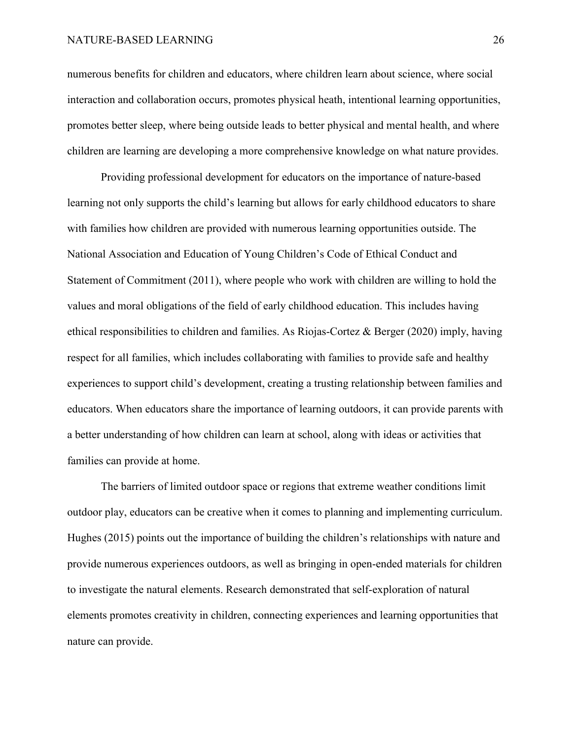numerous benefits for children and educators, where children learn about science, where social interaction and collaboration occurs, promotes physical heath, intentional learning opportunities, promotes better sleep, where being outside leads to better physical and mental health, and where children are learning are developing a more comprehensive knowledge on what nature provides.

Providing professional development for educators on the importance of nature-based learning not only supports the child's learning but allows for early childhood educators to share with families how children are provided with numerous learning opportunities outside. The National Association and Education of Young Children's Code of Ethical Conduct and Statement of Commitment (2011), where people who work with children are willing to hold the values and moral obligations of the field of early childhood education. This includes having ethical responsibilities to children and families. As Riojas-Cortez & Berger (2020) imply, having respect for all families, which includes collaborating with families to provide safe and healthy experiences to support child's development, creating a trusting relationship between families and educators. When educators share the importance of learning outdoors, it can provide parents with a better understanding of how children can learn at school, along with ideas or activities that families can provide at home.

The barriers of limited outdoor space or regions that extreme weather conditions limit outdoor play, educators can be creative when it comes to planning and implementing curriculum. Hughes (2015) points out the importance of building the children's relationships with nature and provide numerous experiences outdoors, as well as bringing in open-ended materials for children to investigate the natural elements. Research demonstrated that self-exploration of natural elements promotes creativity in children, connecting experiences and learning opportunities that nature can provide.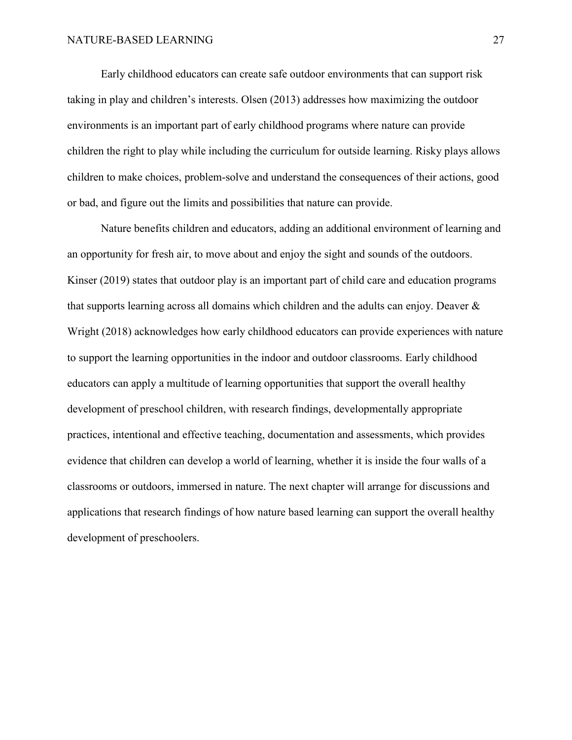Early childhood educators can create safe outdoor environments that can support risk taking in play and children's interests. Olsen (2013) addresses how maximizing the outdoor environments is an important part of early childhood programs where nature can provide children the right to play while including the curriculum for outside learning. Risky plays allows children to make choices, problem-solve and understand the consequences of their actions, good or bad, and figure out the limits and possibilities that nature can provide.

Nature benefits children and educators, adding an additional environment of learning and an opportunity for fresh air, to move about and enjoy the sight and sounds of the outdoors. Kinser (2019) states that outdoor play is an important part of child care and education programs that supports learning across all domains which children and the adults can enjoy. Deaver & Wright (2018) acknowledges how early childhood educators can provide experiences with nature to support the learning opportunities in the indoor and outdoor classrooms. Early childhood educators can apply a multitude of learning opportunities that support the overall healthy development of preschool children, with research findings, developmentally appropriate practices, intentional and effective teaching, documentation and assessments, which provides evidence that children can develop a world of learning, whether it is inside the four walls of a classrooms or outdoors, immersed in nature. The next chapter will arrange for discussions and applications that research findings of how nature based learning can support the overall healthy development of preschoolers.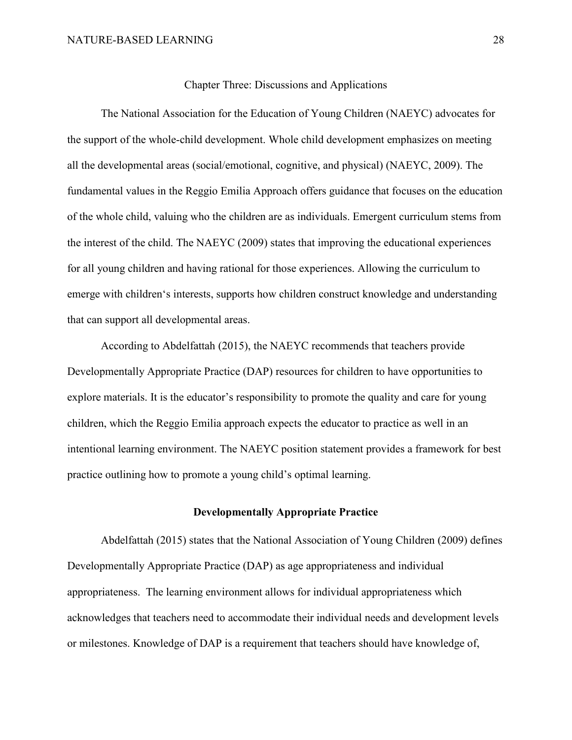#### Chapter Three: Discussions and Applications

<span id="page-28-0"></span>The National Association for the Education of Young Children (NAEYC) advocates for the support of the whole-child development. Whole child development emphasizes on meeting all the developmental areas (social/emotional, cognitive, and physical) (NAEYC, 2009). The fundamental values in the Reggio Emilia Approach offers guidance that focuses on the education of the whole child, valuing who the children are as individuals. Emergent curriculum stems from the interest of the child. The NAEYC (2009) states that improving the educational experiences for all young children and having rational for those experiences. Allowing the curriculum to emerge with children's interests, supports how children construct knowledge and understanding that can support all developmental areas.

According to Abdelfattah (2015), the NAEYC recommends that teachers provide Developmentally Appropriate Practice (DAP) resources for children to have opportunities to explore materials. It is the educator's responsibility to promote the quality and care for young children, which the Reggio Emilia approach expects the educator to practice as well in an intentional learning environment. The NAEYC position statement provides a framework for best practice outlining how to promote a young child's optimal learning.

## **Developmentally Appropriate Practice**

<span id="page-28-1"></span>Abdelfattah (2015) states that the National Association of Young Children (2009) defines Developmentally Appropriate Practice (DAP) as age appropriateness and individual appropriateness. The learning environment allows for individual appropriateness which acknowledges that teachers need to accommodate their individual needs and development levels or milestones. Knowledge of DAP is a requirement that teachers should have knowledge of,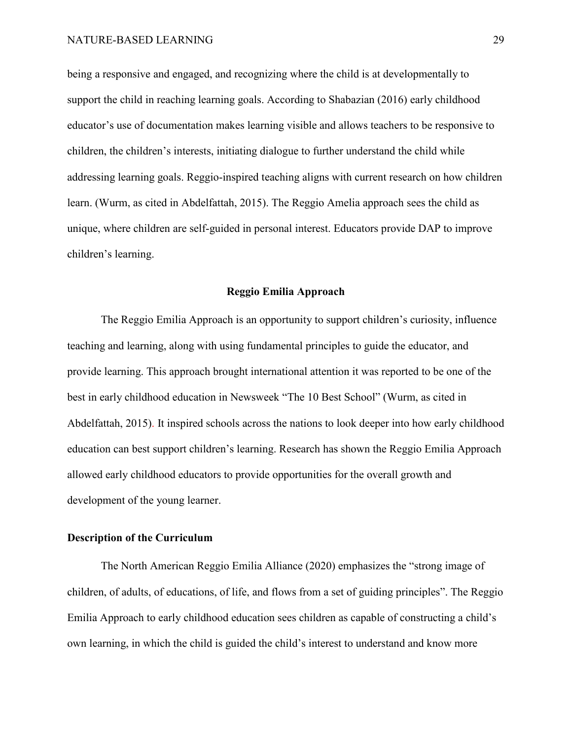being a responsive and engaged, and recognizing where the child is at developmentally to support the child in reaching learning goals. According to Shabazian (2016) early childhood educator's use of documentation makes learning visible and allows teachers to be responsive to children, the children's interests, initiating dialogue to further understand the child while addressing learning goals. Reggio-inspired teaching aligns with current research on how children learn. (Wurm, as cited in Abdelfattah, 2015). The Reggio Amelia approach sees the child as unique, where children are self-guided in personal interest. Educators provide DAP to improve children's learning.

## **Reggio Emilia Approach**

<span id="page-29-0"></span>The Reggio Emilia Approach is an opportunity to support children's curiosity, influence teaching and learning, along with using fundamental principles to guide the educator, and provide learning. This approach brought international attention it was reported to be one of the best in early childhood education in Newsweek "The 10 Best School" (Wurm, as cited in Abdelfattah, 2015). It inspired schools across the nations to look deeper into how early childhood education can best support children's learning. Research has shown the Reggio Emilia Approach allowed early childhood educators to provide opportunities for the overall growth and development of the young learner.

## <span id="page-29-1"></span>**Description of the Curriculum**

The North American Reggio Emilia Alliance (2020) emphasizes the "strong image of children, of adults, of educations, of life, and flows from a set of guiding principles". The Reggio Emilia Approach to early childhood education sees children as capable of constructing a child's own learning, in which the child is guided the child's interest to understand and know more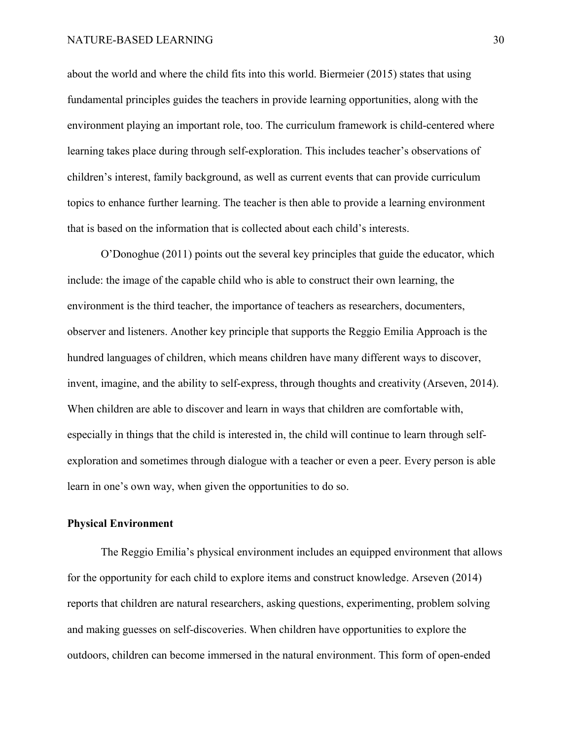about the world and where the child fits into this world. Biermeier (2015) states that using fundamental principles guides the teachers in provide learning opportunities, along with the environment playing an important role, too. The curriculum framework is child-centered where learning takes place during through self-exploration. This includes teacher's observations of children's interest, family background, as well as current events that can provide curriculum topics to enhance further learning. The teacher is then able to provide a learning environment that is based on the information that is collected about each child's interests.

O'Donoghue (2011) points out the several key principles that guide the educator, which include: the image of the capable child who is able to construct their own learning, the environment is the third teacher, the importance of teachers as researchers, documenters, observer and listeners. Another key principle that supports the Reggio Emilia Approach is the hundred languages of children, which means children have many different ways to discover, invent, imagine, and the ability to self-express, through thoughts and creativity (Arseven, 2014). When children are able to discover and learn in ways that children are comfortable with, especially in things that the child is interested in, the child will continue to learn through selfexploration and sometimes through dialogue with a teacher or even a peer. Every person is able learn in one's own way, when given the opportunities to do so.

## <span id="page-30-0"></span>**Physical Environment**

The Reggio Emilia's physical environment includes an equipped environment that allows for the opportunity for each child to explore items and construct knowledge. Arseven (2014) reports that children are natural researchers, asking questions, experimenting, problem solving and making guesses on self-discoveries. When children have opportunities to explore the outdoors, children can become immersed in the natural environment. This form of open-ended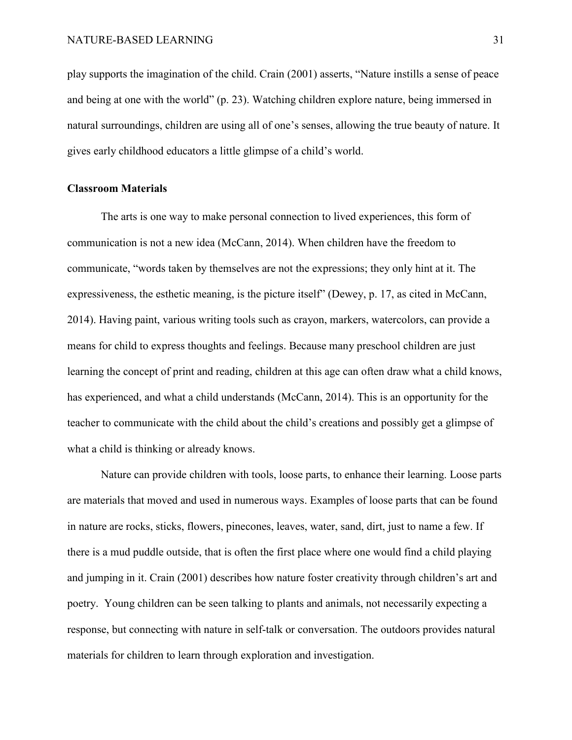play supports the imagination of the child. Crain (2001) asserts, "Nature instills a sense of peace and being at one with the world" (p. 23). Watching children explore nature, being immersed in natural surroundings, children are using all of one's senses, allowing the true beauty of nature. It gives early childhood educators a little glimpse of a child's world.

## <span id="page-31-0"></span>**Classroom Materials**

The arts is one way to make personal connection to lived experiences, this form of communication is not a new idea (McCann, 2014). When children have the freedom to communicate, "words taken by themselves are not the expressions; they only hint at it. The expressiveness, the esthetic meaning, is the picture itself" (Dewey, p. 17, as cited in McCann, 2014). Having paint, various writing tools such as crayon, markers, watercolors, can provide a means for child to express thoughts and feelings. Because many preschool children are just learning the concept of print and reading, children at this age can often draw what a child knows, has experienced, and what a child understands (McCann, 2014). This is an opportunity for the teacher to communicate with the child about the child's creations and possibly get a glimpse of what a child is thinking or already knows.

Nature can provide children with tools, loose parts, to enhance their learning. Loose parts are materials that moved and used in numerous ways. Examples of loose parts that can be found in nature are rocks, sticks, flowers, pinecones, leaves, water, sand, dirt, just to name a few. If there is a mud puddle outside, that is often the first place where one would find a child playing and jumping in it. Crain (2001) describes how nature foster creativity through children's art and poetry. Young children can be seen talking to plants and animals, not necessarily expecting a response, but connecting with nature in self-talk or conversation. The outdoors provides natural materials for children to learn through exploration and investigation.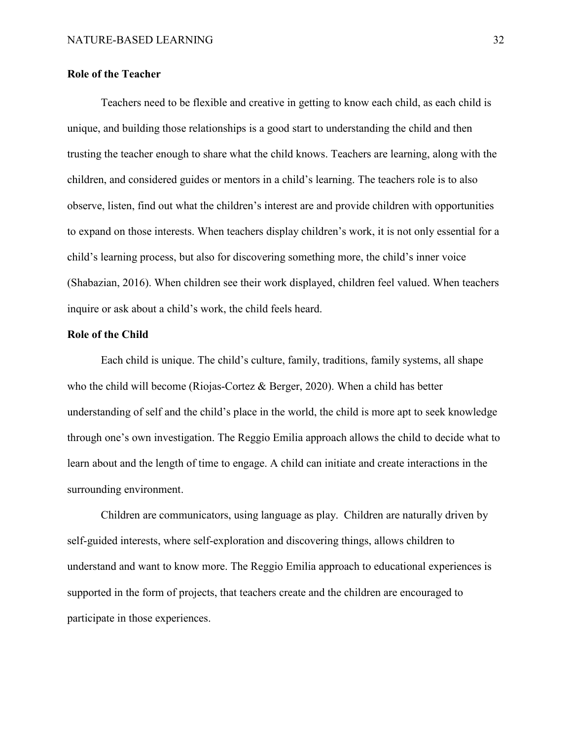## <span id="page-32-0"></span>**Role of the Teacher**

Teachers need to be flexible and creative in getting to know each child, as each child is unique, and building those relationships is a good start to understanding the child and then trusting the teacher enough to share what the child knows. Teachers are learning, along with the children, and considered guides or mentors in a child's learning. The teachers role is to also observe, listen, find out what the children's interest are and provide children with opportunities to expand on those interests. When teachers display children's work, it is not only essential for a child's learning process, but also for discovering something more, the child's inner voice (Shabazian, 2016). When children see their work displayed, children feel valued. When teachers inquire or ask about a child's work, the child feels heard.

## <span id="page-32-1"></span>**Role of the Child**

Each child is unique. The child's culture, family, traditions, family systems, all shape who the child will become (Riojas-Cortez & Berger, 2020). When a child has better understanding of self and the child's place in the world, the child is more apt to seek knowledge through one's own investigation. The Reggio Emilia approach allows the child to decide what to learn about and the length of time to engage. A child can initiate and create interactions in the surrounding environment.

Children are communicators, using language as play. Children are naturally driven by self-guided interests, where self-exploration and discovering things, allows children to understand and want to know more. The Reggio Emilia approach to educational experiences is supported in the form of projects, that teachers create and the children are encouraged to participate in those experiences.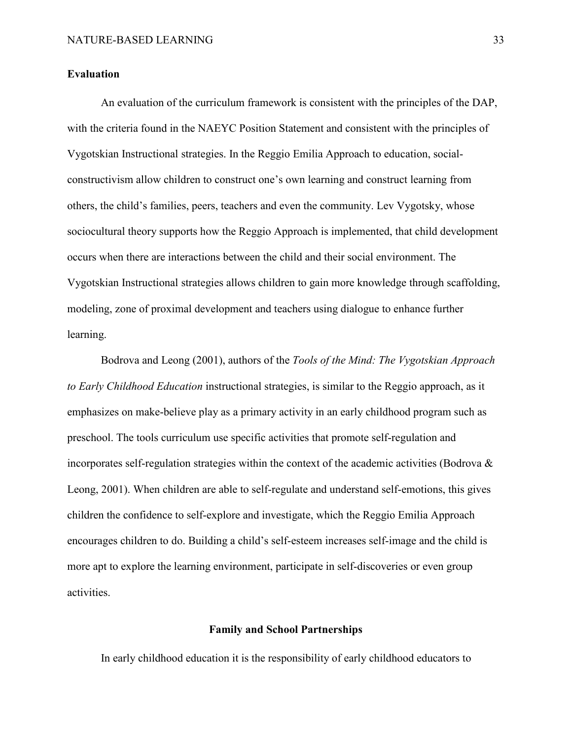## <span id="page-33-0"></span>**Evaluation**

An evaluation of the curriculum framework is consistent with the principles of the DAP, with the criteria found in the NAEYC Position Statement and consistent with the principles of Vygotskian Instructional strategies. In the Reggio Emilia Approach to education, socialconstructivism allow children to construct one's own learning and construct learning from others, the child's families, peers, teachers and even the community. Lev Vygotsky, whose sociocultural theory supports how the Reggio Approach is implemented, that child development occurs when there are interactions between the child and their social environment. The Vygotskian Instructional strategies allows children to gain more knowledge through scaffolding, modeling, zone of proximal development and teachers using dialogue to enhance further learning.

Bodrova and Leong (2001), authors of the *Tools of the Mind: The Vygotskian Approach to Early Childhood Education* instructional strategies, is similar to the Reggio approach, as it emphasizes on make-believe play as a primary activity in an early childhood program such as preschool. The tools curriculum use specific activities that promote self-regulation and incorporates self-regulation strategies within the context of the academic activities (Bodrova & Leong, 2001). When children are able to self-regulate and understand self-emotions, this gives children the confidence to self-explore and investigate, which the Reggio Emilia Approach encourages children to do. Building a child's self-esteem increases self-image and the child is more apt to explore the learning environment, participate in self-discoveries or even group activities.

## **Family and School Partnerships**

<span id="page-33-1"></span>In early childhood education it is the responsibility of early childhood educators to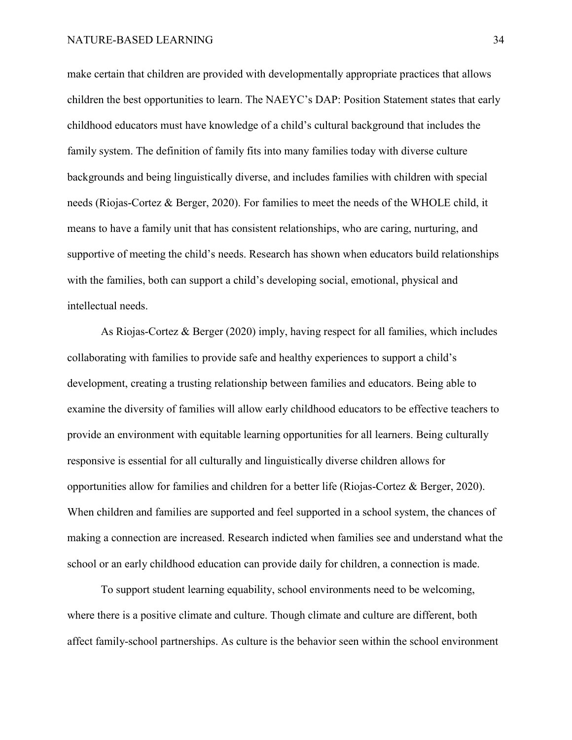make certain that children are provided with developmentally appropriate practices that allows children the best opportunities to learn. The NAEYC's DAP: Position Statement states that early childhood educators must have knowledge of a child's cultural background that includes the family system. The definition of family fits into many families today with diverse culture backgrounds and being linguistically diverse, and includes families with children with special needs (Riojas-Cortez & Berger, 2020). For families to meet the needs of the WHOLE child, it means to have a family unit that has consistent relationships, who are caring, nurturing, and supportive of meeting the child's needs. Research has shown when educators build relationships with the families, both can support a child's developing social, emotional, physical and intellectual needs.

As Riojas-Cortez & Berger (2020) imply, having respect for all families, which includes collaborating with families to provide safe and healthy experiences to support a child's development, creating a trusting relationship between families and educators. Being able to examine the diversity of families will allow early childhood educators to be effective teachers to provide an environment with equitable learning opportunities for all learners. Being culturally responsive is essential for all culturally and linguistically diverse children allows for opportunities allow for families and children for a better life (Riojas-Cortez & Berger, 2020). When children and families are supported and feel supported in a school system, the chances of making a connection are increased. Research indicted when families see and understand what the school or an early childhood education can provide daily for children, a connection is made.

To support student learning equability, school environments need to be welcoming, where there is a positive climate and culture. Though climate and culture are different, both affect family-school partnerships. As culture is the behavior seen within the school environment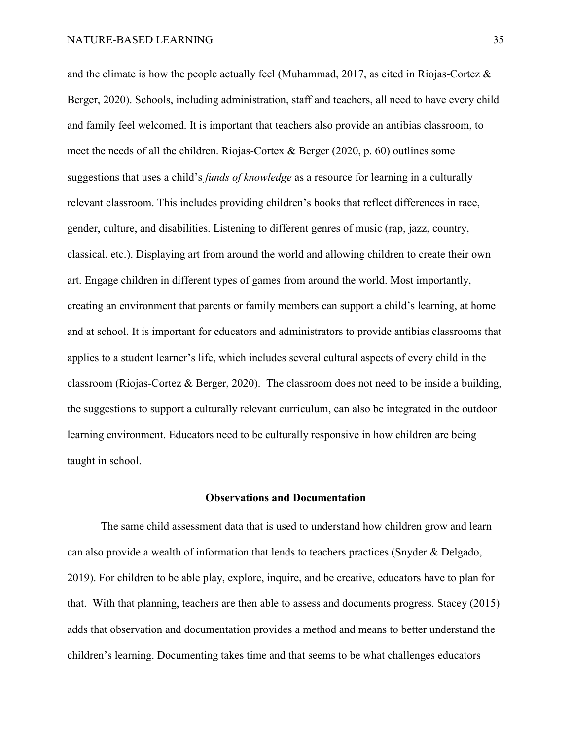and the climate is how the people actually feel (Muhammad, 2017, as cited in Riojas-Cortez  $\&$ Berger, 2020). Schools, including administration, staff and teachers, all need to have every child and family feel welcomed. It is important that teachers also provide an antibias classroom, to meet the needs of all the children. Riojas-Cortex & Berger (2020, p. 60) outlines some suggestions that uses a child's *funds of knowledge* as a resource for learning in a culturally relevant classroom. This includes providing children's books that reflect differences in race, gender, culture, and disabilities. Listening to different genres of music (rap, jazz, country, classical, etc.). Displaying art from around the world and allowing children to create their own art. Engage children in different types of games from around the world. Most importantly, creating an environment that parents or family members can support a child's learning, at home and at school. It is important for educators and administrators to provide antibias classrooms that applies to a student learner's life, which includes several cultural aspects of every child in the classroom (Riojas-Cortez & Berger, 2020). The classroom does not need to be inside a building, the suggestions to support a culturally relevant curriculum, can also be integrated in the outdoor learning environment. Educators need to be culturally responsive in how children are being taught in school.

## **Observations and Documentation**

<span id="page-35-0"></span>The same child assessment data that is used to understand how children grow and learn can also provide a wealth of information that lends to teachers practices (Snyder & Delgado, 2019). For children to be able play, explore, inquire, and be creative, educators have to plan for that. With that planning, teachers are then able to assess and documents progress. Stacey (2015) adds that observation and documentation provides a method and means to better understand the children's learning. Documenting takes time and that seems to be what challenges educators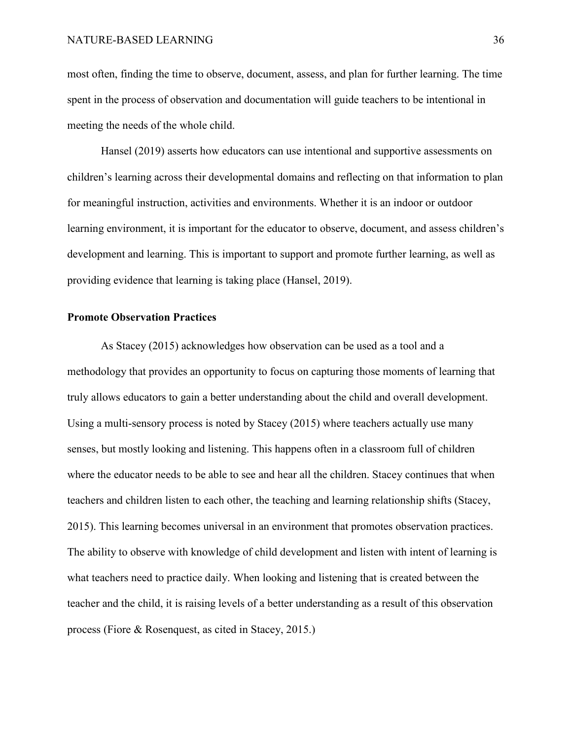most often, finding the time to observe, document, assess, and plan for further learning. The time spent in the process of observation and documentation will guide teachers to be intentional in meeting the needs of the whole child.

Hansel (2019) asserts how educators can use intentional and supportive assessments on children's learning across their developmental domains and reflecting on that information to plan for meaningful instruction, activities and environments. Whether it is an indoor or outdoor learning environment, it is important for the educator to observe, document, and assess children's development and learning. This is important to support and promote further learning, as well as providing evidence that learning is taking place (Hansel, 2019).

#### <span id="page-36-0"></span>**Promote Observation Practices**

As Stacey (2015) acknowledges how observation can be used as a tool and a methodology that provides an opportunity to focus on capturing those moments of learning that truly allows educators to gain a better understanding about the child and overall development. Using a multi-sensory process is noted by Stacey (2015) where teachers actually use many senses, but mostly looking and listening. This happens often in a classroom full of children where the educator needs to be able to see and hear all the children. Stacey continues that when teachers and children listen to each other, the teaching and learning relationship shifts (Stacey, 2015). This learning becomes universal in an environment that promotes observation practices. The ability to observe with knowledge of child development and listen with intent of learning is what teachers need to practice daily. When looking and listening that is created between the teacher and the child, it is raising levels of a better understanding as a result of this observation process (Fiore & Rosenquest, as cited in Stacey, 2015.)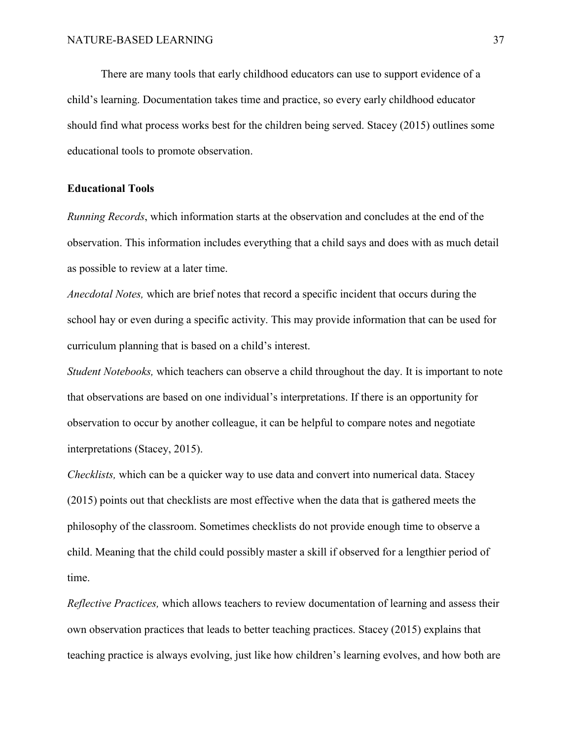There are many tools that early childhood educators can use to support evidence of a child's learning. Documentation takes time and practice, so every early childhood educator should find what process works best for the children being served. Stacey (2015) outlines some educational tools to promote observation.

## <span id="page-37-0"></span>**Educational Tools**

*Running Records*, which information starts at the observation and concludes at the end of the observation. This information includes everything that a child says and does with as much detail as possible to review at a later time.

*Anecdotal Notes,* which are brief notes that record a specific incident that occurs during the school hay or even during a specific activity. This may provide information that can be used for curriculum planning that is based on a child's interest.

*Student Notebooks,* which teachers can observe a child throughout the day. It is important to note that observations are based on one individual's interpretations. If there is an opportunity for observation to occur by another colleague, it can be helpful to compare notes and negotiate interpretations (Stacey, 2015).

*Checklists,* which can be a quicker way to use data and convert into numerical data. Stacey (2015) points out that checklists are most effective when the data that is gathered meets the philosophy of the classroom. Sometimes checklists do not provide enough time to observe a child. Meaning that the child could possibly master a skill if observed for a lengthier period of time.

*Reflective Practices,* which allows teachers to review documentation of learning and assess their own observation practices that leads to better teaching practices. Stacey (2015) explains that teaching practice is always evolving, just like how children's learning evolves, and how both are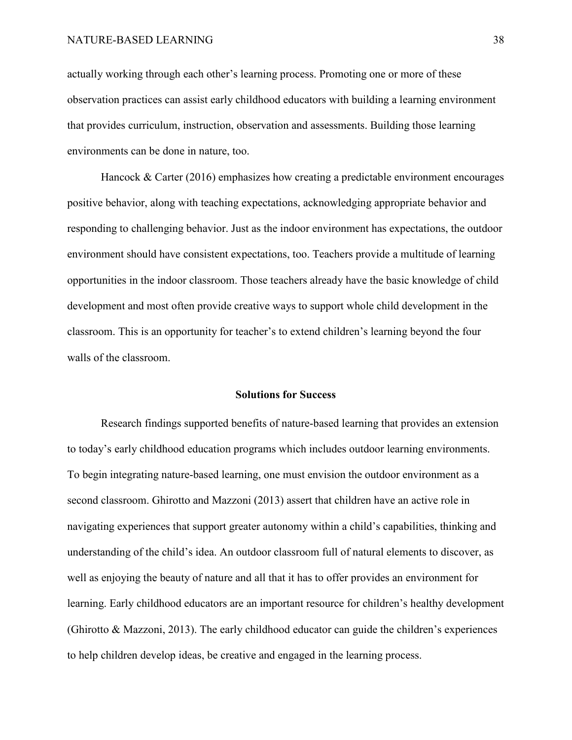actually working through each other's learning process. Promoting one or more of these observation practices can assist early childhood educators with building a learning environment that provides curriculum, instruction, observation and assessments. Building those learning environments can be done in nature, too.

Hancock & Carter (2016) emphasizes how creating a predictable environment encourages positive behavior, along with teaching expectations, acknowledging appropriate behavior and responding to challenging behavior. Just as the indoor environment has expectations, the outdoor environment should have consistent expectations, too. Teachers provide a multitude of learning opportunities in the indoor classroom. Those teachers already have the basic knowledge of child development and most often provide creative ways to support whole child development in the classroom. This is an opportunity for teacher's to extend children's learning beyond the four walls of the classroom.

#### **Solutions for Success**

<span id="page-38-0"></span>Research findings supported benefits of nature-based learning that provides an extension to today's early childhood education programs which includes outdoor learning environments. To begin integrating nature-based learning, one must envision the outdoor environment as a second classroom. Ghirotto and Mazzoni (2013) assert that children have an active role in navigating experiences that support greater autonomy within a child's capabilities, thinking and understanding of the child's idea. An outdoor classroom full of natural elements to discover, as well as enjoying the beauty of nature and all that it has to offer provides an environment for learning. Early childhood educators are an important resource for children's healthy development (Ghirotto & Mazzoni, 2013). The early childhood educator can guide the children's experiences to help children develop ideas, be creative and engaged in the learning process.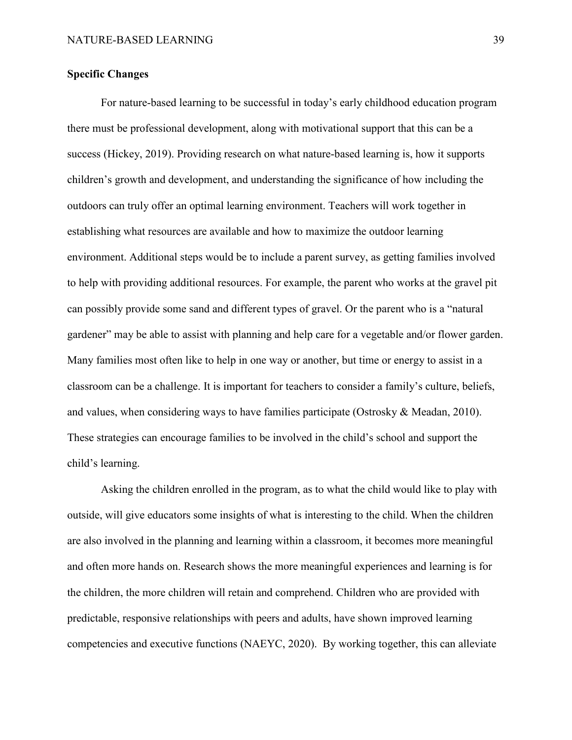## <span id="page-39-0"></span>**Specific Changes**

For nature-based learning to be successful in today's early childhood education program there must be professional development, along with motivational support that this can be a success (Hickey, 2019). Providing research on what nature-based learning is, how it supports children's growth and development, and understanding the significance of how including the outdoors can truly offer an optimal learning environment. Teachers will work together in establishing what resources are available and how to maximize the outdoor learning environment. Additional steps would be to include a parent survey, as getting families involved to help with providing additional resources. For example, the parent who works at the gravel pit can possibly provide some sand and different types of gravel. Or the parent who is a "natural gardener" may be able to assist with planning and help care for a vegetable and/or flower garden. Many families most often like to help in one way or another, but time or energy to assist in a classroom can be a challenge. It is important for teachers to consider a family's culture, beliefs, and values, when considering ways to have families participate (Ostrosky & Meadan, 2010). These strategies can encourage families to be involved in the child's school and support the child's learning.

Asking the children enrolled in the program, as to what the child would like to play with outside, will give educators some insights of what is interesting to the child. When the children are also involved in the planning and learning within a classroom, it becomes more meaningful and often more hands on. Research shows the more meaningful experiences and learning is for the children, the more children will retain and comprehend. Children who are provided with predictable, responsive relationships with peers and adults, have shown improved learning competencies and executive functions (NAEYC, 2020). By working together, this can alleviate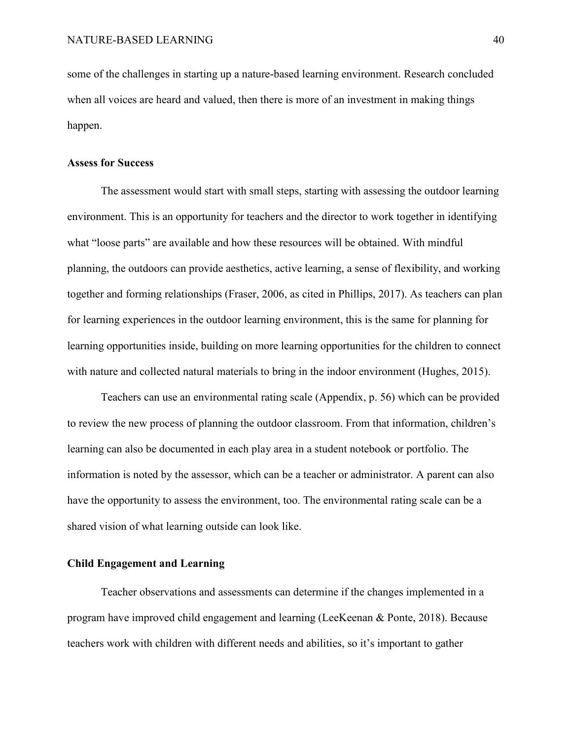some of the challenges in starting up a nature-based learning environment. Research concluded when all voices are heard and valued, then there is more of an investment in making things happen.

#### <span id="page-40-0"></span>**Assess for Success**

The assessment would start with small steps, starting with assessing the outdoor learning environment. This is an opportunity for teachers and the director to work together in identifying what "loose parts" are available and how these resources will be obtained. With mindful planning, the outdoors can provide aesthetics, active learning, a sense of flexibility, and working together and forming relationships (Fraser, 2006, as cited in Phillips, 2017). As teachers can plan for learning experiences in the outdoor learning environment, this is the same for planning for learning opportunities inside, building on more learning opportunities for the children to connect with nature and collected natural materials to bring in the indoor environment (Hughes, 2015).

Teachers can use an environmental rating scale (Appendix, p. 56) which can be provided to review the new process of planning the outdoor classroom. From that information, children's learning can also be documented in each play area in a student notebook or portfolio. The information is noted by the assessor, which can be a teacher or administrator. A parent can also have the opportunity to assess the environment, too. The environmental rating scale can be a shared vision of what learning outside can look like.

## <span id="page-40-1"></span>**Child Engagement and Learning**

Teacher observations and assessments can determine if the changes implemented in a program have improved child engagement and learning (LeeKeenan & Ponte, 2018). Because teachers work with children with different needs and abilities, so it's important to gather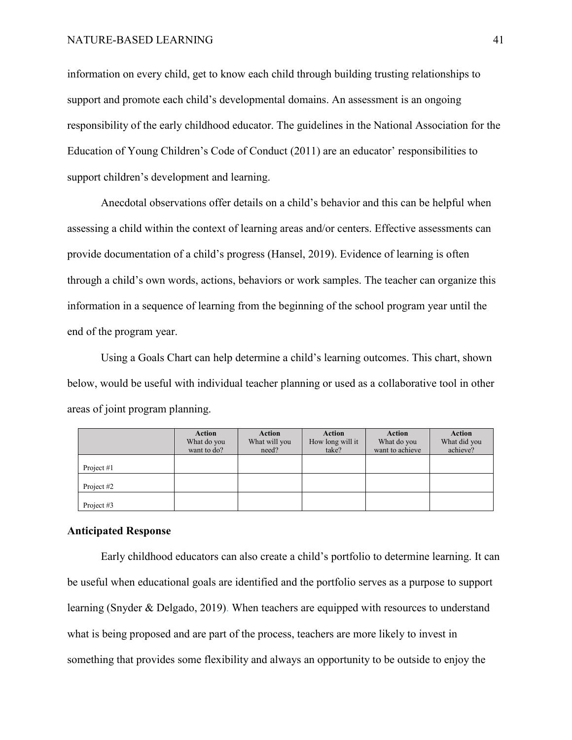information on every child, get to know each child through building trusting relationships to support and promote each child's developmental domains. An assessment is an ongoing responsibility of the early childhood educator. The guidelines in the National Association for the Education of Young Children's Code of Conduct (2011) are an educator' responsibilities to support children's development and learning.

Anecdotal observations offer details on a child's behavior and this can be helpful when assessing a child within the context of learning areas and/or centers. Effective assessments can provide documentation of a child's progress (Hansel, 2019). Evidence of learning is often through a child's own words, actions, behaviors or work samples. The teacher can organize this information in a sequence of learning from the beginning of the school program year until the end of the program year.

Using a Goals Chart can help determine a child's learning outcomes. This chart, shown below, would be useful with individual teacher planning or used as a collaborative tool in other areas of joint program planning.

|              | <b>Action</b><br>What do you<br>want to do? | <b>Action</b><br>What will you<br>need? | <b>Action</b><br>How long will it<br>take? | <b>Action</b><br>What do you<br>want to achieve | <b>Action</b><br>What did you<br>achieve? |
|--------------|---------------------------------------------|-----------------------------------------|--------------------------------------------|-------------------------------------------------|-------------------------------------------|
| Project #1   |                                             |                                         |                                            |                                                 |                                           |
| Project #2   |                                             |                                         |                                            |                                                 |                                           |
| Project $#3$ |                                             |                                         |                                            |                                                 |                                           |

## <span id="page-41-0"></span>**Anticipated Response**

Early childhood educators can also create a child's portfolio to determine learning. It can be useful when educational goals are identified and the portfolio serves as a purpose to support learning (Snyder & Delgado, 2019). When teachers are equipped with resources to understand what is being proposed and are part of the process, teachers are more likely to invest in something that provides some flexibility and always an opportunity to be outside to enjoy the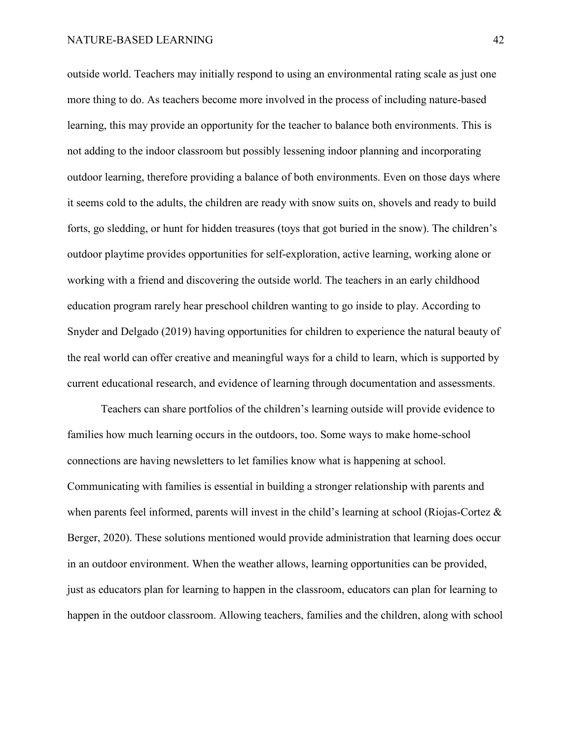outside world. Teachers may initially respond to using an environmental rating scale as just one more thing to do. As teachers become more involved in the process of including nature-based learning, this may provide an opportunity for the teacher to balance both environments. This is not adding to the indoor classroom but possibly lessening indoor planning and incorporating outdoor learning, therefore providing a balance of both environments. Even on those days where it seems cold to the adults, the children are ready with snow suits on, shovels and ready to build forts, go sledding, or hunt for hidden treasures (toys that got buried in the snow). The children's outdoor playtime provides opportunities for self-exploration, active learning, working alone or working with a friend and discovering the outside world. The teachers in an early childhood education program rarely hear preschool children wanting to go inside to play. According to Snyder and Delgado (2019) having opportunities for children to experience the natural beauty of the real world can offer creative and meaningful ways for a child to learn, which is supported by current educational research, and evidence of learning through documentation and assessments.

Teachers can share portfolios of the children's learning outside will provide evidence to families how much learning occurs in the outdoors, too. Some ways to make home-school connections are having newsletters to let families know what is happening at school. Communicating with families is essential in building a stronger relationship with parents and when parents feel informed, parents will invest in the child's learning at school (Riojas-Cortez & Berger, 2020). These solutions mentioned would provide administration that learning does occur in an outdoor environment. When the weather allows, learning opportunities can be provided, just as educators plan for learning to happen in the classroom, educators can plan for learning to happen in the outdoor classroom. Allowing teachers, families and the children, along with school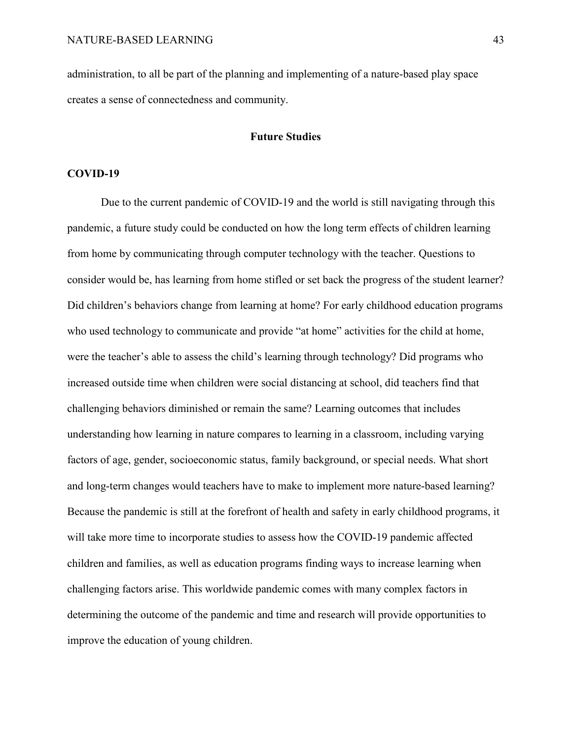<span id="page-43-0"></span>administration, to all be part of the planning and implementing of a nature-based play space creates a sense of connectedness and community.

## **Future Studies**

#### <span id="page-43-1"></span>**COVID-19**

Due to the current pandemic of COVID-19 and the world is still navigating through this pandemic, a future study could be conducted on how the long term effects of children learning from home by communicating through computer technology with the teacher. Questions to consider would be, has learning from home stifled or set back the progress of the student learner? Did children's behaviors change from learning at home? For early childhood education programs who used technology to communicate and provide "at home" activities for the child at home, were the teacher's able to assess the child's learning through technology? Did programs who increased outside time when children were social distancing at school, did teachers find that challenging behaviors diminished or remain the same? Learning outcomes that includes understanding how learning in nature compares to learning in a classroom, including varying factors of age, gender, socioeconomic status, family background, or special needs. What short and long-term changes would teachers have to make to implement more nature-based learning? Because the pandemic is still at the forefront of health and safety in early childhood programs, it will take more time to incorporate studies to assess how the COVID-19 pandemic affected children and families, as well as education programs finding ways to increase learning when challenging factors arise. This worldwide pandemic comes with many complex factors in determining the outcome of the pandemic and time and research will provide opportunities to improve the education of young children.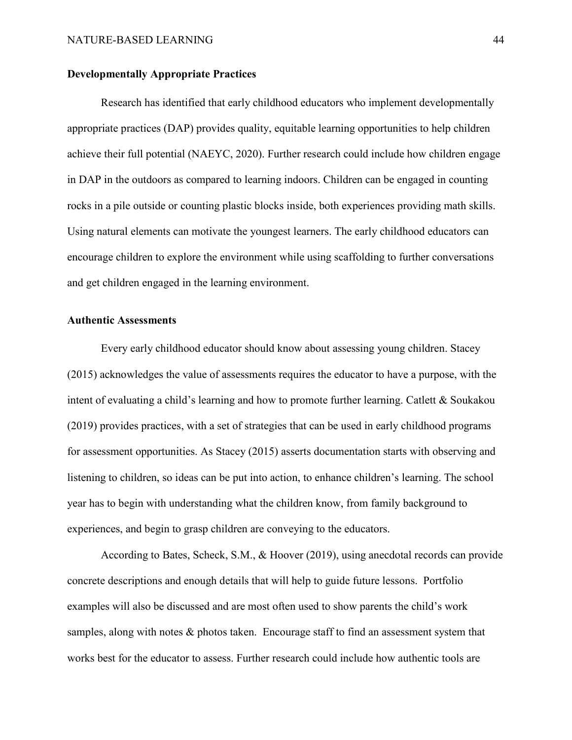## <span id="page-44-0"></span>**Developmentally Appropriate Practices**

Research has identified that early childhood educators who implement developmentally appropriate practices (DAP) provides quality, equitable learning opportunities to help children achieve their full potential (NAEYC, 2020). Further research could include how children engage in DAP in the outdoors as compared to learning indoors. Children can be engaged in counting rocks in a pile outside or counting plastic blocks inside, both experiences providing math skills. Using natural elements can motivate the youngest learners. The early childhood educators can encourage children to explore the environment while using scaffolding to further conversations and get children engaged in the learning environment.

## <span id="page-44-1"></span>**Authentic Assessments**

Every early childhood educator should know about assessing young children. Stacey (2015) acknowledges the value of assessments requires the educator to have a purpose, with the intent of evaluating a child's learning and how to promote further learning. Catlett & Soukakou (2019) provides practices, with a set of strategies that can be used in early childhood programs for assessment opportunities. As Stacey (2015) asserts documentation starts with observing and listening to children, so ideas can be put into action, to enhance children's learning. The school year has to begin with understanding what the children know, from family background to experiences, and begin to grasp children are conveying to the educators.

According to Bates, Scheck, S.M., & Hoover (2019), using anecdotal records can provide concrete descriptions and enough details that will help to guide future lessons. Portfolio examples will also be discussed and are most often used to show parents the child's work samples, along with notes & photos taken. Encourage staff to find an assessment system that works best for the educator to assess. Further research could include how authentic tools are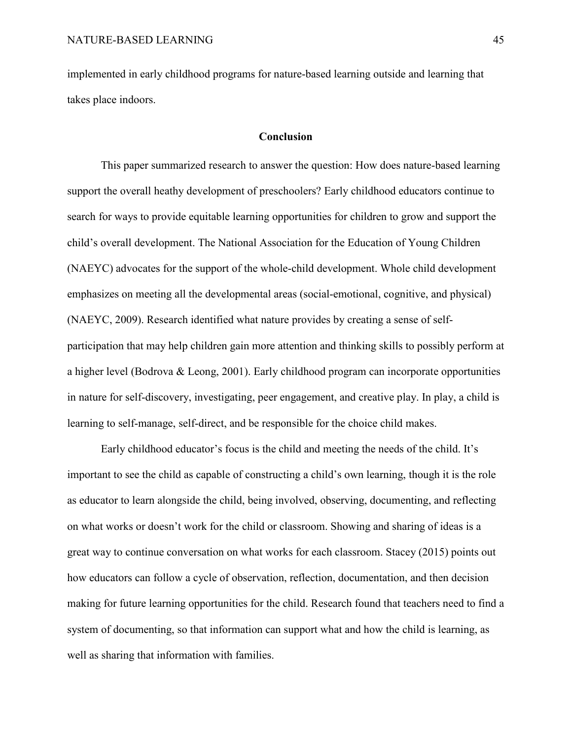implemented in early childhood programs for nature-based learning outside and learning that takes place indoors.

## **Conclusion**

<span id="page-45-0"></span>This paper summarized research to answer the question: How does nature-based learning support the overall heathy development of preschoolers? Early childhood educators continue to search for ways to provide equitable learning opportunities for children to grow and support the child's overall development. The National Association for the Education of Young Children (NAEYC) advocates for the support of the whole-child development. Whole child development emphasizes on meeting all the developmental areas (social-emotional, cognitive, and physical) (NAEYC, 2009). Research identified what nature provides by creating a sense of selfparticipation that may help children gain more attention and thinking skills to possibly perform at a higher level (Bodrova & Leong, 2001). Early childhood program can incorporate opportunities in nature for self-discovery, investigating, peer engagement, and creative play. In play, a child is learning to self-manage, self-direct, and be responsible for the choice child makes.

Early childhood educator's focus is the child and meeting the needs of the child. It's important to see the child as capable of constructing a child's own learning, though it is the role as educator to learn alongside the child, being involved, observing, documenting, and reflecting on what works or doesn't work for the child or classroom. Showing and sharing of ideas is a great way to continue conversation on what works for each classroom. Stacey (2015) points out how educators can follow a cycle of observation, reflection, documentation, and then decision making for future learning opportunities for the child. Research found that teachers need to find a system of documenting, so that information can support what and how the child is learning, as well as sharing that information with families.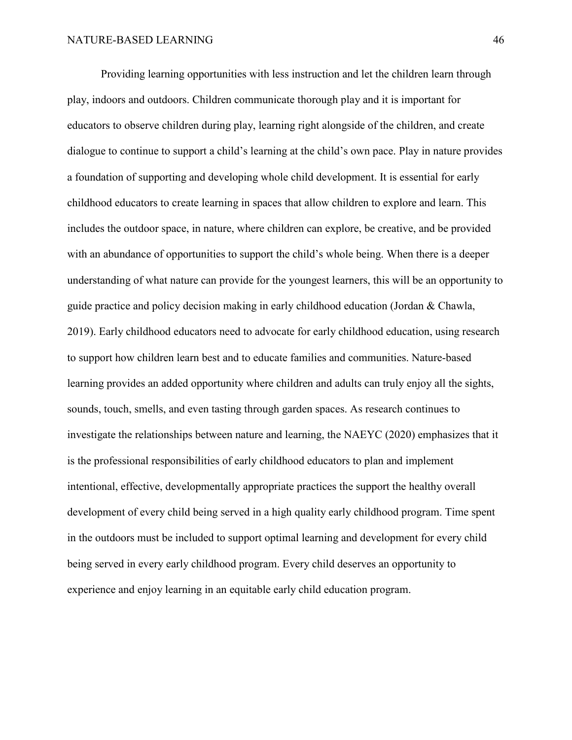Providing learning opportunities with less instruction and let the children learn through play, indoors and outdoors. Children communicate thorough play and it is important for educators to observe children during play, learning right alongside of the children, and create dialogue to continue to support a child's learning at the child's own pace. Play in nature provides a foundation of supporting and developing whole child development. It is essential for early childhood educators to create learning in spaces that allow children to explore and learn. This includes the outdoor space, in nature, where children can explore, be creative, and be provided with an abundance of opportunities to support the child's whole being. When there is a deeper understanding of what nature can provide for the youngest learners, this will be an opportunity to guide practice and policy decision making in early childhood education (Jordan & Chawla, 2019). Early childhood educators need to advocate for early childhood education, using research to support how children learn best and to educate families and communities. Nature-based learning provides an added opportunity where children and adults can truly enjoy all the sights, sounds, touch, smells, and even tasting through garden spaces. As research continues to investigate the relationships between nature and learning, the NAEYC (2020) emphasizes that it is the professional responsibilities of early childhood educators to plan and implement intentional, effective, developmentally appropriate practices the support the healthy overall development of every child being served in a high quality early childhood program. Time spent in the outdoors must be included to support optimal learning and development for every child being served in every early childhood program. Every child deserves an opportunity to experience and enjoy learning in an equitable early child education program.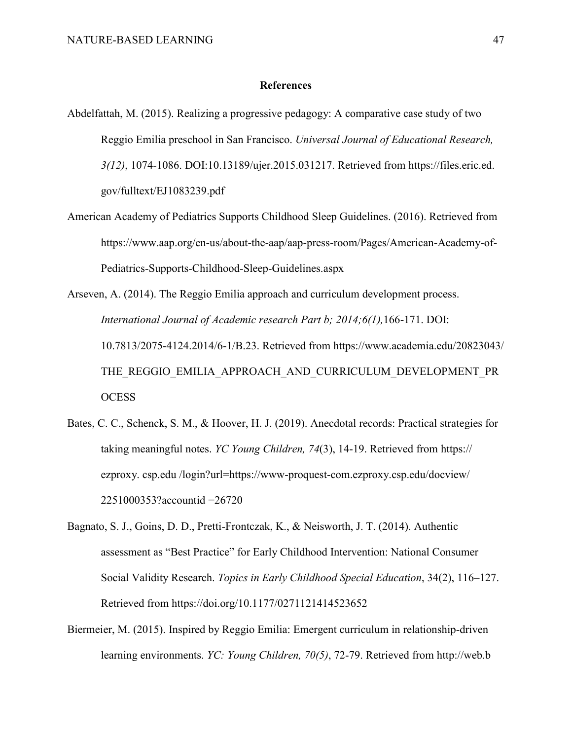#### **References**

- <span id="page-47-0"></span>Abdelfattah, M. (2015). Realizing a progressive pedagogy: A comparative case study of two Reggio Emilia preschool in San Francisco. *Universal Journal of Educational Research, 3(12)*, 1074-1086. DOI:10.13189/ujer.2015.031217. Retrieved from https://files.eric.ed. gov/fulltext/EJ1083239.pdf
- American Academy of Pediatrics Supports Childhood Sleep Guidelines. (2016). Retrieved from https://www.aap.org/en-us/about-the-aap/aap-press-room/Pages/American-Academy-of-Pediatrics-Supports-Childhood-Sleep-Guidelines.aspx

Arseven, A. (2014). The Reggio Emilia approach and curriculum development process. *International Journal of Academic research Part b; 2014;6(1),*166-171. DOI: 10.7813/2075-4124.2014/6-1/B.23. Retrieved from https://www.academia.edu/20823043/ THE\_REGGIO\_EMILIA\_APPROACH\_AND\_CURRICULUM\_DEVELOPMENT\_PR **OCESS** 

- Bates, C. C., Schenck, S. M., & Hoover, H. J. (2019). Anecdotal records: Practical strategies for taking meaningful notes. *YC Young Children, 74*(3), 14-19. Retrieved from https:// ezproxy. csp.edu /login?url=https://www-proquest-com.ezproxy.csp.edu/docview/ 2251000353?accountid =26720
- Bagnato, S. J., Goins, D. D., Pretti-Frontczak, K., & Neisworth, J. T. (2014). Authentic assessment as "Best Practice" for Early Childhood Intervention: National Consumer Social Validity Research. *Topics in Early Childhood Special Education*, 34(2), 116–127. Retrieved from https://doi.org/10.1177/0271121414523652
- Biermeier, M. (2015). Inspired by Reggio Emilia: Emergent curriculum in relationship-driven learning environments. *YC: Young Children, 70(5)*, 72-79. Retrieved from http://web.b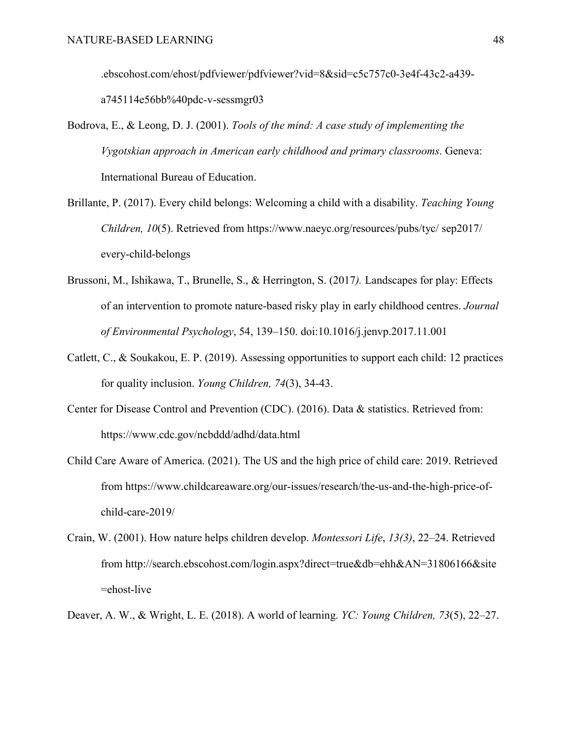.ebscohost.com/ehost/pdfviewer/pdfviewer?vid=8&sid=c5c757c0-3e4f-43c2-a439 a745114e56bb%40pdc-v-sessmgr03

- Bodrova, E., & Leong, D. J. (2001). *Tools of the mind: A case study of implementing the Vygotskian approach in American early childhood and primary classrooms*. Geneva: International Bureau of Education.
- Brillante, P. (2017). Every child belongs: Welcoming a child with a disability. *Teaching Young Children, 10*(5). Retrieved from https://www.naeyc.org/resources/pubs/tyc/ sep2017/ every-child-belongs
- Brussoni, M., Ishikawa, T., Brunelle, S., & Herrington, S. (2017*).* Landscapes for play: Effects of an intervention to promote nature-based risky play in early childhood centres. *Journal of Environmental Psychology*, 54, 139–150. doi:10.1016/j.jenvp.2017.11.001
- Catlett, C., & Soukakou, E. P. (2019). Assessing opportunities to support each child: 12 practices for quality inclusion. *Young Children, 74*(3), 34-43.
- Center for Disease Control and Prevention (CDC). (2016). Data & statistics. Retrieved from: https://www.cdc.gov/ncbddd/adhd/data.html
- Child Care Aware of America. (2021). The US and the high price of child care: 2019. Retrieved from https://www.childcareaware.org/our-issues/research/the-us-and-the-high-price-ofchild-care-2019/
- Crain, W. (2001). How nature helps children develop. *Montessori Life*, *13(3)*, 22–24. Retrieved from http://search.ebscohost.com/login.aspx?direct=true&db=ehh&AN=31806166&site =ehost-live
- Deaver, A. W., & Wright, L. E. (2018). A world of learning. *YC: Young Children, 73*(5), 22–27.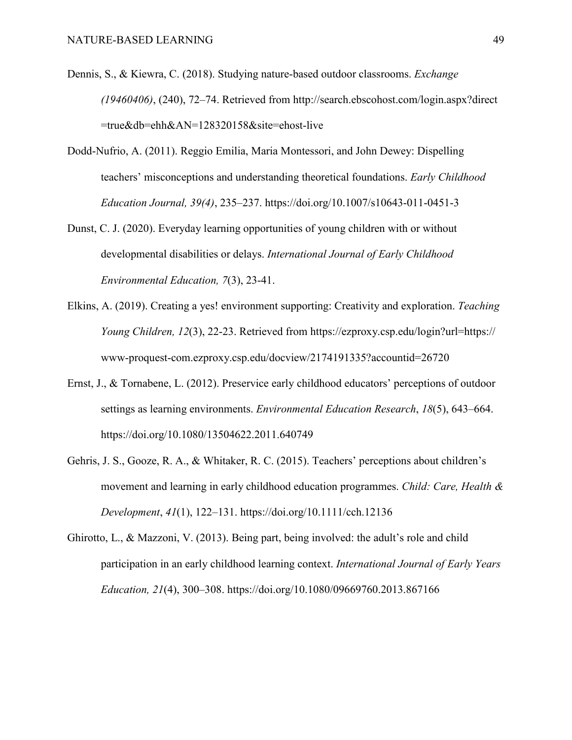- Dennis, S., & Kiewra, C. (2018). Studying nature-based outdoor classrooms. *Exchange (19460406)*, (240), 72–74. Retrieved from http://search.ebscohost.com/login.aspx?direct =true&db=ehh&AN=128320158&site=ehost-live
- Dodd-Nufrio, A. (2011). Reggio Emilia, Maria Montessori, and John Dewey: Dispelling teachers' misconceptions and understanding theoretical foundations. *Early Childhood Education Journal, 39(4)*, 235–237. https://doi.org/10.1007/s10643-011-0451-3
- Dunst, C. J. (2020). Everyday learning opportunities of young children with or without developmental disabilities or delays. *International Journal of Early Childhood Environmental Education, 7*(3), 23-41.
- Elkins, A. (2019). Creating a yes! environment supporting: Creativity and exploration. *Teaching Young Children, 12*(3), 22-23. Retrieved from https://ezproxy.csp.edu/login?url=https:// www-proquest-com.ezproxy.csp.edu/docview/2174191335?accountid=26720
- Ernst, J., & Tornabene, L. (2012). Preservice early childhood educators' perceptions of outdoor settings as learning environments. *Environmental Education Research*, *18*(5), 643–664. https://doi.org/10.1080/13504622.2011.640749
- Gehris, J. S., Gooze, R. A., & Whitaker, R. C. (2015). Teachers' perceptions about children's movement and learning in early childhood education programmes. *Child: Care, Health & Development*, *41*(1), 122–131. https://doi.org/10.1111/cch.12136
- Ghirotto, L., & Mazzoni, V. (2013). Being part, being involved: the adult's role and child participation in an early childhood learning context. *International Journal of Early Years Education, 21*(4), 300–308. https://doi.org/10.1080/09669760.2013.867166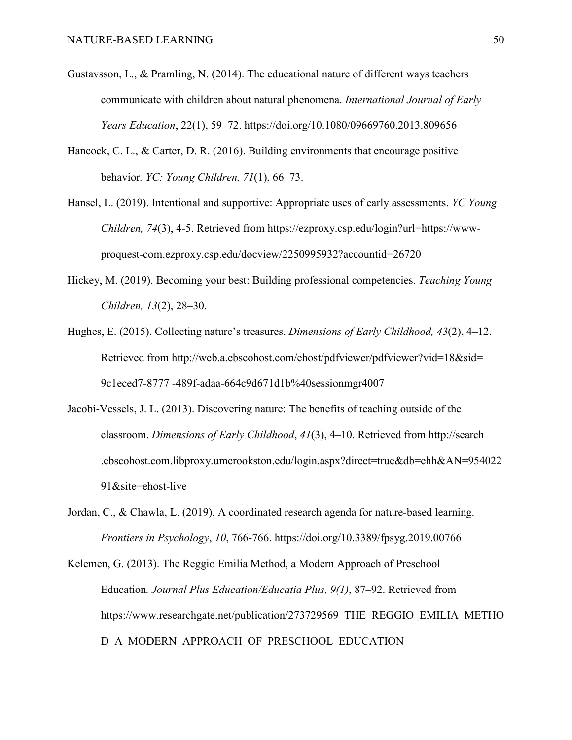- Gustavsson, L., & Pramling, N. (2014). The educational nature of different ways teachers communicate with children about natural phenomena. *International Journal of Early Years Education*, 22(1), 59–72. https://doi.org/10.1080/09669760.2013.809656
- Hancock, C. L., & Carter, D. R. (2016). Building environments that encourage positive behavior*. YC: Young Children, 71*(1), 66–73.
- Hansel, L. (2019). Intentional and supportive: Appropriate uses of early assessments. *YC Young Children, 74*(3), 4-5. Retrieved from https://ezproxy.csp.edu/login?url=https://wwwproquest-com.ezproxy.csp.edu/docview/2250995932?accountid=26720
- Hickey, M. (2019). Becoming your best: Building professional competencies. *Teaching Young Children, 13*(2), 28–30.
- Hughes, E. (2015). Collecting nature's treasures. *Dimensions of Early Childhood, 43*(2), 4–12. Retrieved from http://web.a.ebscohost.com/ehost/pdfviewer/pdfviewer?vid=18&sid= 9c1eced7-8777 -489f-adaa-664c9d671d1b%40sessionmgr4007
- Jacobi-Vessels, J. L. (2013). Discovering nature: The benefits of teaching outside of the classroom. *Dimensions of Early Childhood*, *41*(3), 4–10. Retrieved from http://search .ebscohost.com.libproxy.umcrookston.edu/login.aspx?direct=true&db=ehh&AN=954022 91&site=ehost-live
- Jordan, C., & Chawla, L. (2019). A coordinated research agenda for nature-based learning. *Frontiers in Psychology*, *10*, 766-766. https://doi.org/10.3389/fpsyg.2019.00766

Kelemen, G. (2013). The Reggio Emilia Method, a Modern Approach of Preschool Education*. Journal Plus Education/Educatia Plus, 9(1)*, 87–92. Retrieved from https://www.researchgate.net/publication/273729569 THE REGGIO EMILIA METHO D\_A\_MODERN\_APPROACH\_OF\_PRESCHOOL\_EDUCATION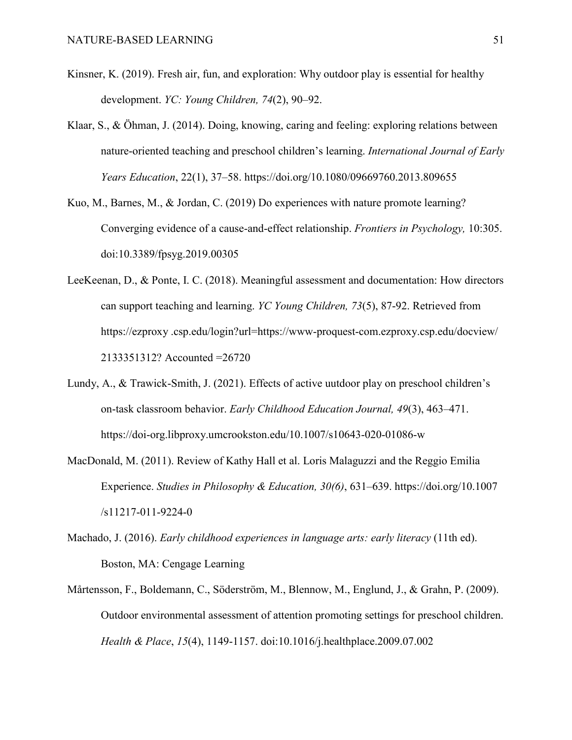- Kinsner, K. (2019). Fresh air, fun, and exploration: Why outdoor play is essential for healthy development. *YC: Young Children, 74*(2), 90–92.
- Klaar, S., & Öhman, J. (2014). Doing, knowing, caring and feeling: exploring relations between nature-oriented teaching and preschool children's learning. *International Journal of Early Years Education*, 22(1), 37–58. https://doi.org/10.1080/09669760.2013.809655
- Kuo, M., Barnes, M., & Jordan, C. (2019) Do experiences with nature promote learning? Converging evidence of a cause-and-effect relationship. *Frontiers in Psychology,* 10:305. doi:10.3389/fpsyg.2019.00305
- LeeKeenan, D., & Ponte, I. C. (2018). Meaningful assessment and documentation: How directors can support teaching and learning. *YC Young Children, 73*(5), 87-92. Retrieved from https://ezproxy .csp.edu/login?url=https://www-proquest-com.ezproxy.csp.edu/docview/ 2133351312? Accounted =26720
- Lundy, A., & Trawick-Smith, J. (2021). Effects of active uutdoor play on preschool children's on-task classroom behavior. *Early Childhood Education Journal, 49*(3), 463–471. https://doi-org.libproxy.umcrookston.edu/10.1007/s10643-020-01086-w
- MacDonald, M. (2011). Review of Kathy Hall et al. Loris Malaguzzi and the Reggio Emilia Experience. *Studies in Philosophy & Education, 30(6)*, 631–639. https://doi.org/10.1007 /s11217-011-9224-0
- Machado, J. (2016). *Early childhood experiences in language arts: early literacy* (11th ed). Boston, MA: Cengage Learning
- Mårtensson, F., Boldemann, C., Söderström, M., Blennow, M., Englund, J., & Grahn, P. (2009). Outdoor environmental assessment of attention promoting settings for preschool children. *Health & Place*, *15*(4), 1149-1157. doi:10.1016/j.healthplace.2009.07.002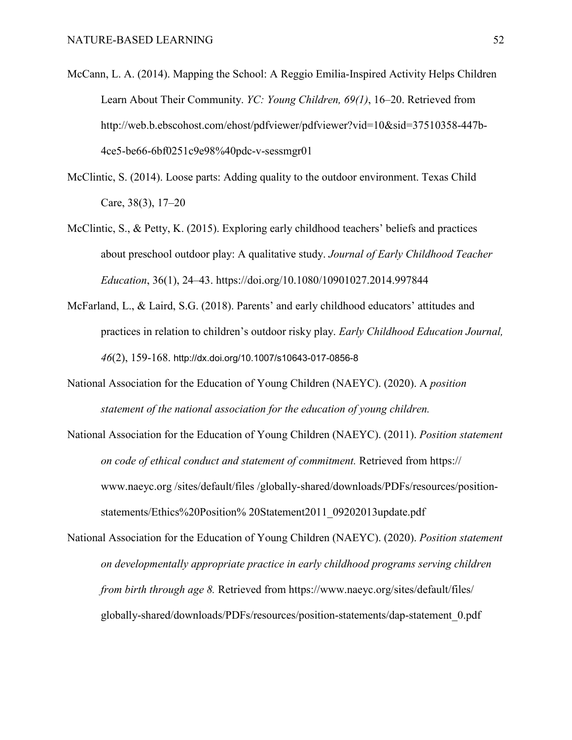- McCann, L. A. (2014). Mapping the School: A Reggio Emilia-Inspired Activity Helps Children Learn About Their Community. *YC: Young Children, 69(1)*, 16–20. Retrieved from http://web.b.ebscohost.com/ehost/pdfviewer/pdfviewer?vid=10&sid=37510358-447b-4ce5-be66-6bf0251c9e98%40pdc-v-sessmgr01
- McClintic, S. (2014). Loose parts: Adding quality to the outdoor environment. Texas Child Care, 38(3), 17–20
- McClintic, S., & Petty, K. (2015). Exploring early childhood teachers' beliefs and practices about preschool outdoor play: A qualitative study. *Journal of Early Childhood Teacher Education*, 36(1), 24–43. https://doi.org/10.1080/10901027.2014.997844
- McFarland, L., & Laird, S.G. (2018). Parents' and early childhood educators' attitudes and practices in relation to children's outdoor risky play. *Early Childhood Education Journal, 46*(2), 159-168. http://dx.doi.org/10.1007/s10643-017-0856-8
- National Association for the Education of Young Children (NAEYC). (2020). A *position statement of the national association for the education of young children.*
- National Association for the Education of Young Children (NAEYC). (2011). *Position statement on code of ethical conduct and statement of commitment.* Retrieved from https:// www.naeyc.org /sites/default/files /globally-shared/downloads/PDFs/resources/positionstatements/Ethics%20Position% 20Statement2011\_09202013update.pdf
- National Association for the Education of Young Children (NAEYC). (2020). *Position statement on developmentally appropriate practice in early childhood programs serving children from birth through age 8.* Retrieved from https://www.naeyc.org/sites/default/files/ globally-shared/downloads/PDFs/resources/position-statements/dap-statement\_0.pdf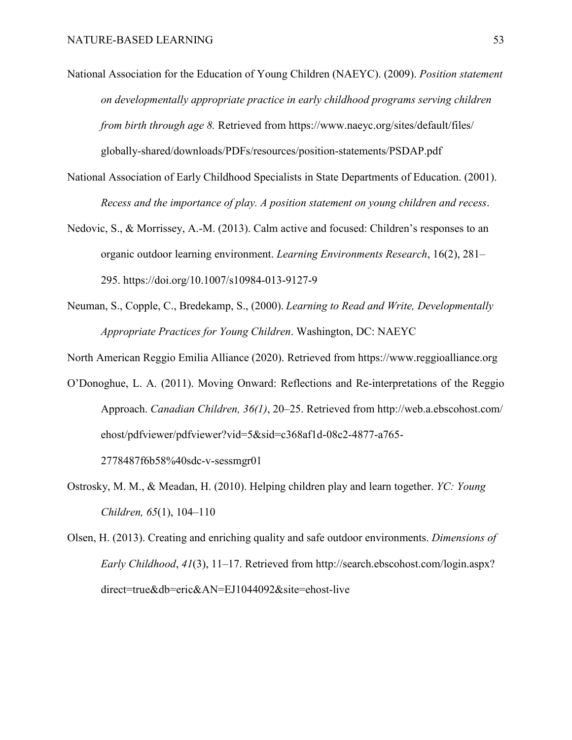- National Association for the Education of Young Children (NAEYC). (2009). *Position statement on developmentally appropriate practice in early childhood programs serving children from birth through age 8.* Retrieved from https://www.naeyc.org/sites/default/files/ globally-shared/downloads/PDFs/resources/position-statements/PSDAP.pdf
- National Association of Early Childhood Specialists in State Departments of Education. (2001). *Recess and the importance of play. A position statement on young children and recess*.
- Nedovic, S., & Morrissey, A.-M. (2013). Calm active and focused: Children's responses to an organic outdoor learning environment. *Learning Environments Research*, 16(2), 281– 295. https://doi.org/10.1007/s10984-013-9127-9
- Neuman, S., Copple, C., Bredekamp, S., (2000). *Learning to Read and Write, Developmentally Appropriate Practices for Young Children*. Washington, DC: NAEYC

North American Reggio Emilia Alliance (2020). Retrieved from https://www.reggioalliance.org

O'Donoghue, L. A. (2011). Moving Onward: Reflections and Re-interpretations of the Reggio Approach. *Canadian Children, 36(1)*, 20–25. Retrieved from http://web.a.ebscohost.com/ ehost/pdfviewer/pdfviewer?vid=5&sid=c368af1d-08c2-4877-a765-

2778487f6b58%40sdc-v-sessmgr01

- Ostrosky, M. M., & Meadan, H. (2010). Helping children play and learn together. *YC: Young Children, 65*(1), 104–110
- Olsen, H. (2013). Creating and enriching quality and safe outdoor environments. *Dimensions of Early Childhood*, *41*(3), 11–17. Retrieved from http://search.ebscohost.com/login.aspx? direct=true&db=eric&AN=EJ1044092&site=ehost-live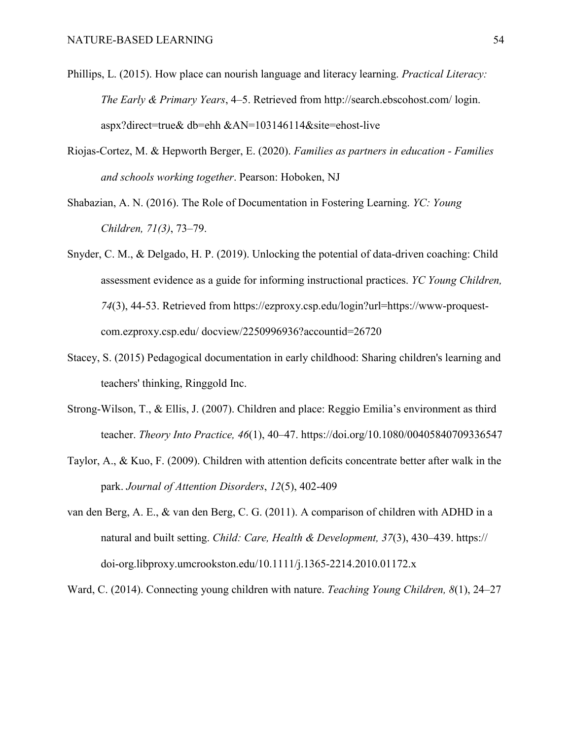- Phillips, L. (2015). How place can nourish language and literacy learning. *Practical Literacy: The Early & Primary Years*, 4–5. Retrieved from http://search.ebscohost.com/ login. aspx?direct=true& db=ehh &AN=103146114&site=ehost-live
- Riojas-Cortez, M. & Hepworth Berger, E. (2020). *Families as partners in education - Families and schools working together*. Pearson: Hoboken, NJ
- Shabazian, A. N. (2016). The Role of Documentation in Fostering Learning. *YC: Young Children, 71(3)*, 73–79.
- Snyder, C. M., & Delgado, H. P. (2019). Unlocking the potential of data-driven coaching: Child assessment evidence as a guide for informing instructional practices. *YC Young Children, 74*(3), 44-53. Retrieved from https://ezproxy.csp.edu/login?url=https://www-proquestcom.ezproxy.csp.edu/ docview/2250996936?accountid=26720
- Stacey, S. (2015) Pedagogical documentation in early childhood: Sharing children's learning and teachers' thinking, Ringgold Inc.
- Strong-Wilson, T., & Ellis, J. (2007). Children and place: Reggio Emilia's environment as third teacher. *Theory Into Practice, 46*(1), 40–47. https://doi.org/10.1080/00405840709336547
- Taylor, A., & Kuo, F. (2009). Children with attention deficits concentrate better after walk in the park. *Journal of Attention Disorders*, *12*(5), 402-409
- van den Berg, A. E., & van den Berg, C. G. (2011). A comparison of children with ADHD in a natural and built setting. *Child: Care, Health & Development, 37*(3), 430–439. https:// doi-org.libproxy.umcrookston.edu/10.1111/j.1365-2214.2010.01172.x

Ward, C. (2014). Connecting young children with nature. *Teaching Young Children, 8*(1), 24–27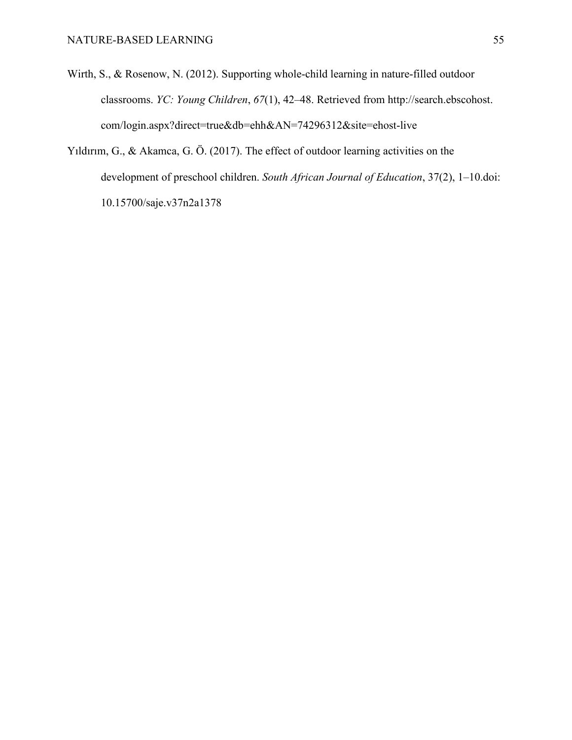- Wirth, S., & Rosenow, N. (2012). Supporting whole-child learning in nature-filled outdoor classrooms. *YC: Young Children*, *67*(1), 42–48. Retrieved from http://search.ebscohost. com/login.aspx?direct=true&db=ehh&AN=74296312&site=ehost-live
- Yıldırım, G., & Akamca, G. Ö. (2017). The effect of outdoor learning activities on the development of preschool children. *South African Journal of Education*, 37(2), 1–10.doi: 10.15700/saje.v37n2a1378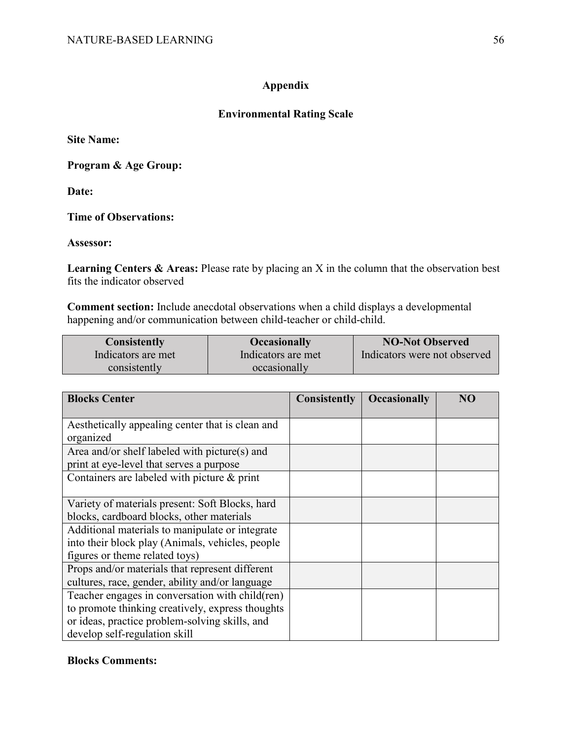# **Appendix**

# **Environmental Rating Scale**

<span id="page-56-0"></span>**Site Name:** 

**Program & Age Group:** 

**Date:** 

**Time of Observations:** 

**Assessor:** 

**Learning Centers & Areas:** Please rate by placing an X in the column that the observation best fits the indicator observed

**Comment section:** Include anecdotal observations when a child displays a developmental happening and/or communication between child-teacher or child-child.

| <b>Consistently</b> | <b>Occasionally</b> | <b>NO-Not Observed</b>       |
|---------------------|---------------------|------------------------------|
| Indicators are met  | Indicators are met  | Indicators were not observed |
| consistently        | occasionally        |                              |

| <b>Blocks Center</b>                             | <b>Consistently</b> | <b>Occasionally</b> | NO |
|--------------------------------------------------|---------------------|---------------------|----|
|                                                  |                     |                     |    |
| Aesthetically appealing center that is clean and |                     |                     |    |
| organized                                        |                     |                     |    |
| Area and/or shelf labeled with picture(s) and    |                     |                     |    |
| print at eye-level that serves a purpose         |                     |                     |    |
| Containers are labeled with picture & print      |                     |                     |    |
|                                                  |                     |                     |    |
| Variety of materials present: Soft Blocks, hard  |                     |                     |    |
| blocks, cardboard blocks, other materials        |                     |                     |    |
| Additional materials to manipulate or integrate  |                     |                     |    |
| into their block play (Animals, vehicles, people |                     |                     |    |
| figures or theme related toys)                   |                     |                     |    |
| Props and/or materials that represent different  |                     |                     |    |
| cultures, race, gender, ability and/or language  |                     |                     |    |
| Teacher engages in conversation with child (ren) |                     |                     |    |
| to promote thinking creatively, express thoughts |                     |                     |    |
| or ideas, practice problem-solving skills, and   |                     |                     |    |
| develop self-regulation skill                    |                     |                     |    |

# **Blocks Comments:**